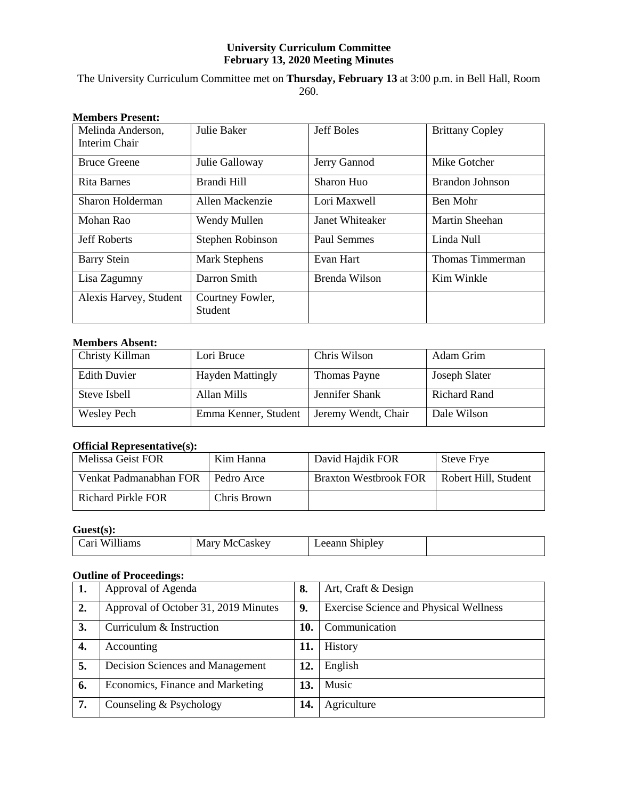### **University Curriculum Committee February 13, 2020 Meeting Minutes**

The University Curriculum Committee met on **Thursday, February 13** at 3:00 p.m. in Bell Hall, Room 260.

| висшиста і гелене.                 |                             |                   |                        |
|------------------------------------|-----------------------------|-------------------|------------------------|
| Melinda Anderson,<br>Interim Chair | Julie Baker                 | <b>Jeff Boles</b> | <b>Brittany Copley</b> |
| <b>Bruce Greene</b>                | Julie Galloway              | Jerry Gannod      | Mike Gotcher           |
| Rita Barnes                        | Brandi Hill                 | Sharon Huo        | Brandon Johnson        |
| Sharon Holderman                   | Allen Mackenzie             | Lori Maxwell      | Ben Mohr               |
| Mohan Rao                          | Wendy Mullen                | Janet Whiteaker   | <b>Martin Sheehan</b>  |
| <b>Jeff Roberts</b>                | Stephen Robinson            | Paul Semmes       | Linda Null             |
| <b>Barry Stein</b>                 | <b>Mark Stephens</b>        | Evan Hart         | Thomas Timmerman       |
| Lisa Zagumny                       | Darron Smith                | Brenda Wilson     | Kim Winkle             |
| Alexis Harvey, Student             | Courtney Fowler,<br>Student |                   |                        |

# **Members Present:**

### **Members Absent:**

| Christy Killman     | Lori Bruce              | Chris Wilson        | Adam Grim     |
|---------------------|-------------------------|---------------------|---------------|
| <b>Edith Duvier</b> | <b>Hayden Mattingly</b> | Thomas Payne        | Joseph Slater |
| Steve Isbell        | Allan Mills             | Jennifer Shank      | Richard Rand  |
| <b>Wesley Pech</b>  | Emma Kenner, Student    | Jeremy Wendt, Chair | Dale Wilson   |

# **Official Representative(s):**

| Melissa Geist FOR      | Kim Hanna   | David Hajdik FOR             | <b>Steve Frye</b>    |
|------------------------|-------------|------------------------------|----------------------|
| Venkat Padmanabhan FOR | Pedro Arce  | <b>Braxton Westbrook FOR</b> | Robert Hill, Student |
| Richard Pirkle FOR     | Chris Brown |                              |                      |

### **Guest(s):**

| W <sub>1</sub> I <sub>llams</sub><br>∹arı | Mary<br>askey:<br>. Me' | --<br>Shipley.<br>0.00033<br><u>.</u><br>anı<br>$\sim$ |  |
|-------------------------------------------|-------------------------|--------------------------------------------------------|--|
|-------------------------------------------|-------------------------|--------------------------------------------------------|--|

### **Outline of Proceedings:**

| 1. | Approval of Agenda                   | 8.  | Art, Craft & Design                           |
|----|--------------------------------------|-----|-----------------------------------------------|
| 2. | Approval of October 31, 2019 Minutes | 9.  | <b>Exercise Science and Physical Wellness</b> |
| 3. | Curriculum & Instruction             | 10. | Communication                                 |
| 4. | Accounting                           | 11. | History                                       |
| 5. | Decision Sciences and Management     | 12. | English                                       |
| 6. | Economics, Finance and Marketing     | 13. | Music                                         |
| 7. | Counseling & Psychology              | 14. | Agriculture                                   |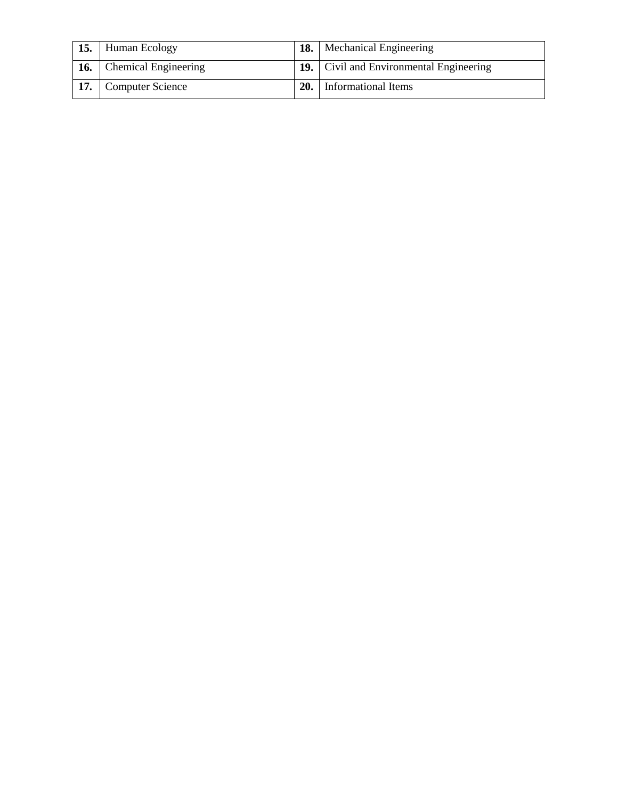| 15.        | Human Ecology               |     | <b>18.</b> Mechanical Engineering              |
|------------|-----------------------------|-----|------------------------------------------------|
| <b>16.</b> | <b>Chemical Engineering</b> |     | <b>19.</b> Civil and Environmental Engineering |
|            | <b>Computer Science</b>     | 20. | Informational Items                            |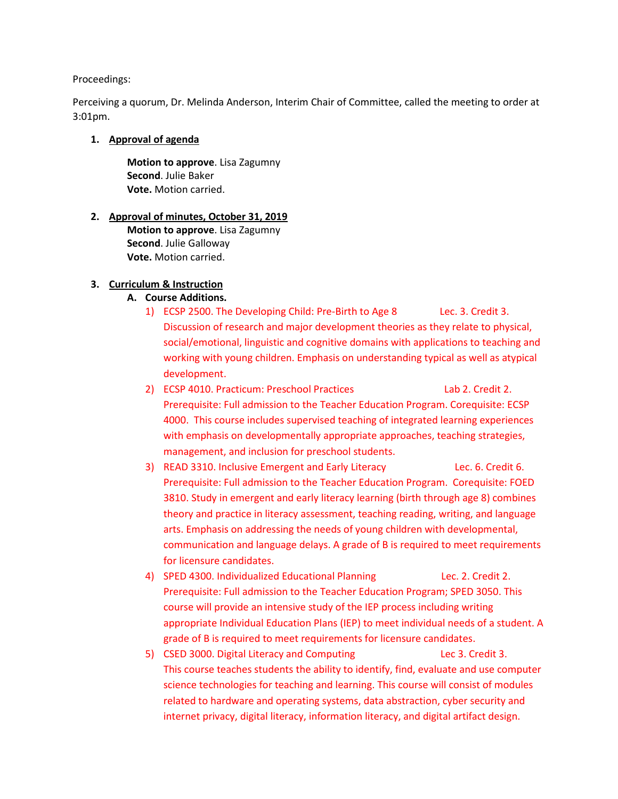### Proceedings:

Perceiving a quorum, Dr. Melinda Anderson, Interim Chair of Committee, called the meeting to order at 3:01pm.

### **1. Approval of agenda**

**Motion to approve**. Lisa Zagumny **Second**. Julie Baker **Vote.** Motion carried.

### **2. Approval of minutes, October 31, 2019**

**Motion to approve**. Lisa Zagumny **Second**. Julie Galloway **Vote.** Motion carried.

### **3. Curriculum & Instruction**

### **A. Course Additions.**

- 1) ECSP 2500. The Developing Child: Pre-Birth to Age 8 Lec. 3. Credit 3. Discussion of research and major development theories as they relate to physical, social/emotional, linguistic and cognitive domains with applications to teaching and working with young children. Emphasis on understanding typical as well as atypical development.
- 2) ECSP 4010. Practicum: Preschool Practices Lab 2. Credit 2. Prerequisite: Full admission to the Teacher Education Program. Corequisite: ECSP 4000. This course includes supervised teaching of integrated learning experiences with emphasis on developmentally appropriate approaches, teaching strategies, management, and inclusion for preschool students.
- 3) READ 3310. Inclusive Emergent and Early Literacy Lec. 6. Credit 6. Prerequisite: Full admission to the Teacher Education Program. Corequisite: FOED 3810. Study in emergent and early literacy learning (birth through age 8) combines theory and practice in literacy assessment, teaching reading, writing, and language arts. Emphasis on addressing the needs of young children with developmental, communication and language delays. A grade of B is required to meet requirements for licensure candidates.
- 4) SPED 4300. Individualized Educational Planning Lec. 2. Credit 2. Prerequisite: Full admission to the Teacher Education Program; SPED 3050. This course will provide an intensive study of the IEP process including writing appropriate Individual Education Plans (IEP) to meet individual needs of a student. A grade of B is required to meet requirements for licensure candidates.
- 5) CSED 3000. Digital Literacy and Computing Lec 3. Credit 3. This course teaches students the ability to identify, find, evaluate and use computer science technologies for teaching and learning. This course will consist of modules related to hardware and operating systems, data abstraction, cyber security and internet privacy, digital literacy, information literacy, and digital artifact design.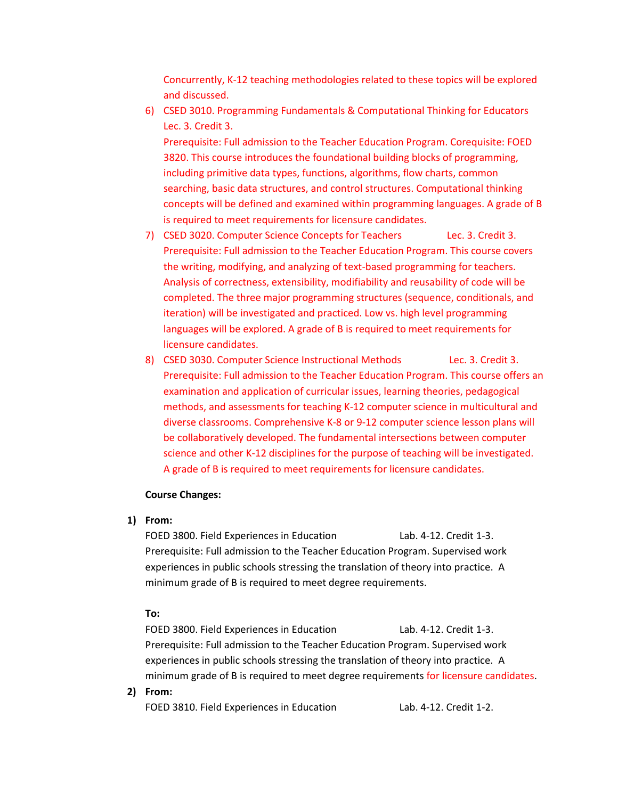Concurrently, K-12 teaching methodologies related to these topics will be explored and discussed.

6) CSED 3010. Programming Fundamentals & Computational Thinking for Educators Lec. 3. Credit 3.

Prerequisite: Full admission to the Teacher Education Program. Corequisite: FOED 3820. This course introduces the foundational building blocks of programming, including primitive data types, functions, algorithms, flow charts, common searching, basic data structures, and control structures. Computational thinking concepts will be defined and examined within programming languages. A grade of B is required to meet requirements for licensure candidates.

- 7) CSED 3020. Computer Science Concepts for Teachers Lec. 3. Credit 3. Prerequisite: Full admission to the Teacher Education Program. This course covers the writing, modifying, and analyzing of text-based programming for teachers. Analysis of correctness, extensibility, modifiability and reusability of code will be completed. The three major programming structures (sequence, conditionals, and iteration) will be investigated and practiced. Low vs. high level programming languages will be explored. A grade of B is required to meet requirements for licensure candidates.
- 8) CSED 3030. Computer Science Instructional Methods Lec. 3. Credit 3. Prerequisite: Full admission to the Teacher Education Program. This course offers an examination and application of curricular issues, learning theories, pedagogical methods, and assessments for teaching K-12 computer science in multicultural and diverse classrooms. Comprehensive K-8 or 9-12 computer science lesson plans will be collaboratively developed. The fundamental intersections between computer science and other K-12 disciplines for the purpose of teaching will be investigated. A grade of B is required to meet requirements for licensure candidates.

#### **Course Changes:**

**1) From:**

FOED 3800. Field Experiences in Education Lab. 4-12. Credit 1-3. Prerequisite: Full admission to the Teacher Education Program. Supervised work experiences in public schools stressing the translation of theory into practice. A minimum grade of B is required to meet degree requirements.

#### **To:**

FOED 3800. Field Experiences in Education Lab. 4-12. Credit 1-3. Prerequisite: Full admission to the Teacher Education Program. Supervised work experiences in public schools stressing the translation of theory into practice. A minimum grade of B is required to meet degree requirements for licensure candidates.

**2) From:**

FOED 3810. Field Experiences in Education Lab. 4-12. Credit 1-2.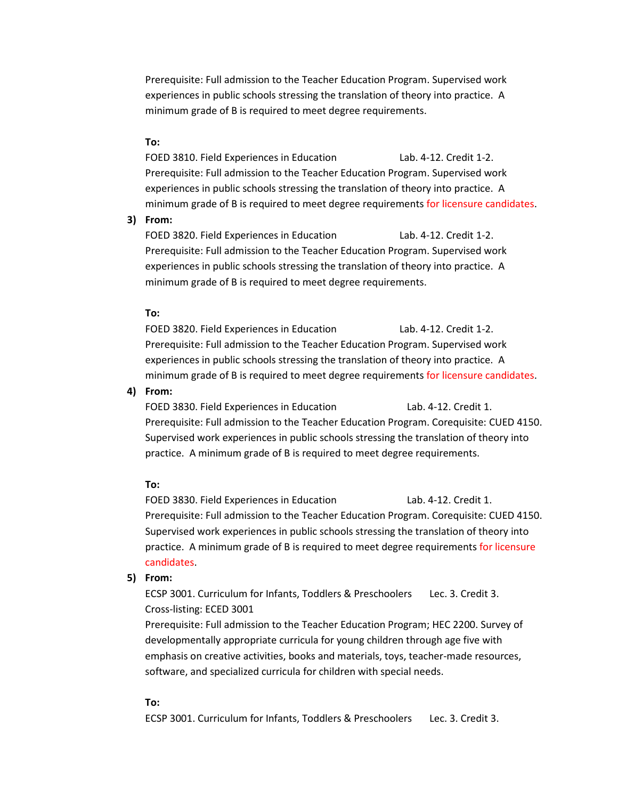Prerequisite: Full admission to the Teacher Education Program. Supervised work experiences in public schools stressing the translation of theory into practice. A minimum grade of B is required to meet degree requirements.

### **To:**

FOED 3810. Field Experiences in Education Lab. 4-12. Credit 1-2. Prerequisite: Full admission to the Teacher Education Program. Supervised work experiences in public schools stressing the translation of theory into practice. A minimum grade of B is required to meet degree requirements for licensure candidates.

### **3) From:**

FOED 3820. Field Experiences in Education Lab. 4-12. Credit 1-2. Prerequisite: Full admission to the Teacher Education Program. Supervised work experiences in public schools stressing the translation of theory into practice. A minimum grade of B is required to meet degree requirements.

#### **To:**

FOED 3820. Field Experiences in Education Lab. 4-12. Credit 1-2. Prerequisite: Full admission to the Teacher Education Program. Supervised work experiences in public schools stressing the translation of theory into practice. A minimum grade of B is required to meet degree requirements for licensure candidates.

#### **4) From:**

FOED 3830. Field Experiences in Education Lab. 4-12. Credit 1. Prerequisite: Full admission to the Teacher Education Program. Corequisite: CUED 4150. Supervised work experiences in public schools stressing the translation of theory into practice. A minimum grade of B is required to meet degree requirements.

#### **To:**

FOED 3830. Field Experiences in Education Lab. 4-12. Credit 1. Prerequisite: Full admission to the Teacher Education Program. Corequisite: CUED 4150. Supervised work experiences in public schools stressing the translation of theory into practice. A minimum grade of B is required to meet degree requirements for licensure candidates.

#### **5) From:**

ECSP 3001. Curriculum for Infants, Toddlers & Preschoolers Lec. 3. Credit 3. Cross-listing: ECED 3001

Prerequisite: Full admission to the Teacher Education Program; HEC 2200. Survey of developmentally appropriate curricula for young children through age five with emphasis on creative activities, books and materials, toys, teacher-made resources, software, and specialized curricula for children with special needs.

#### **To:**

ECSP 3001. Curriculum for Infants, Toddlers & Preschoolers Lec. 3. Credit 3.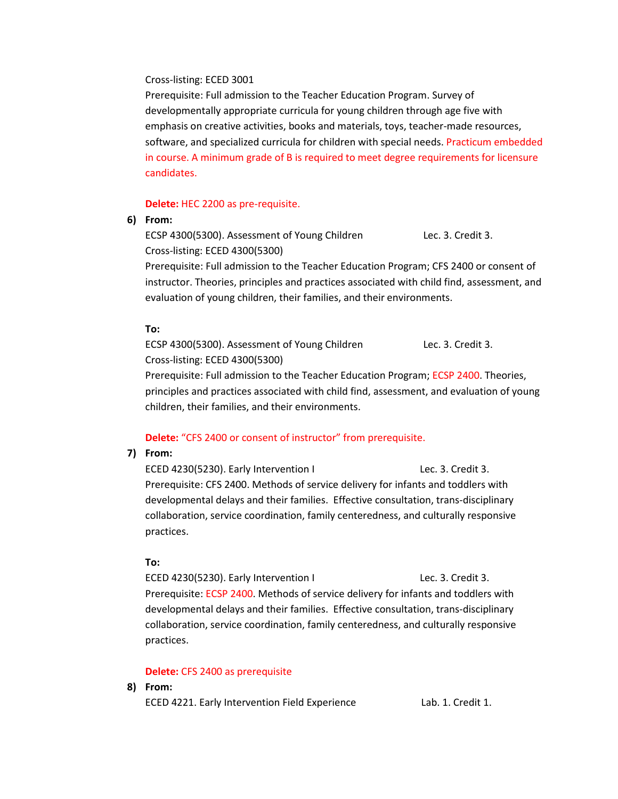### Cross-listing: ECED 3001

Prerequisite: Full admission to the Teacher Education Program. Survey of developmentally appropriate curricula for young children through age five with emphasis on creative activities, books and materials, toys, teacher-made resources, software, and specialized curricula for children with special needs. Practicum embedded in course. A minimum grade of B is required to meet degree requirements for licensure candidates.

### **Delete:** HEC 2200 as pre-requisite.

### **6) From:**

ECSP 4300(5300). Assessment of Young Children Lec. 3. Credit 3. Cross-listing: ECED 4300(5300)

Prerequisite: Full admission to the Teacher Education Program; CFS 2400 or consent of instructor. Theories, principles and practices associated with child find, assessment, and evaluation of young children, their families, and their environments.

### **To:**

ECSP 4300(5300). Assessment of Young Children Lec. 3. Credit 3. Cross-listing: ECED 4300(5300)

Prerequisite: Full admission to the Teacher Education Program; ECSP 2400. Theories, principles and practices associated with child find, assessment, and evaluation of young children, their families, and their environments.

### **Delete:** "CFS 2400 or consent of instructor" from prerequisite.

### **7) From:**

ECED 4230(5230). Early Intervention I Lec. 3. Credit 3. Prerequisite: CFS 2400. Methods of service delivery for infants and toddlers with developmental delays and their families. Effective consultation, trans-disciplinary collaboration, service coordination, family centeredness, and culturally responsive practices.

### **To:**

ECED 4230(5230). Early Intervention I Lec. 3. Credit 3. Prerequisite: ECSP 2400. Methods of service delivery for infants and toddlers with developmental delays and their families. Effective consultation, trans-disciplinary collaboration, service coordination, family centeredness, and culturally responsive practices.

### **Delete:** CFS 2400 as prerequisite

### **8) From:**

ECED 4221. Early Intervention Field Experience Lab. 1. Credit 1.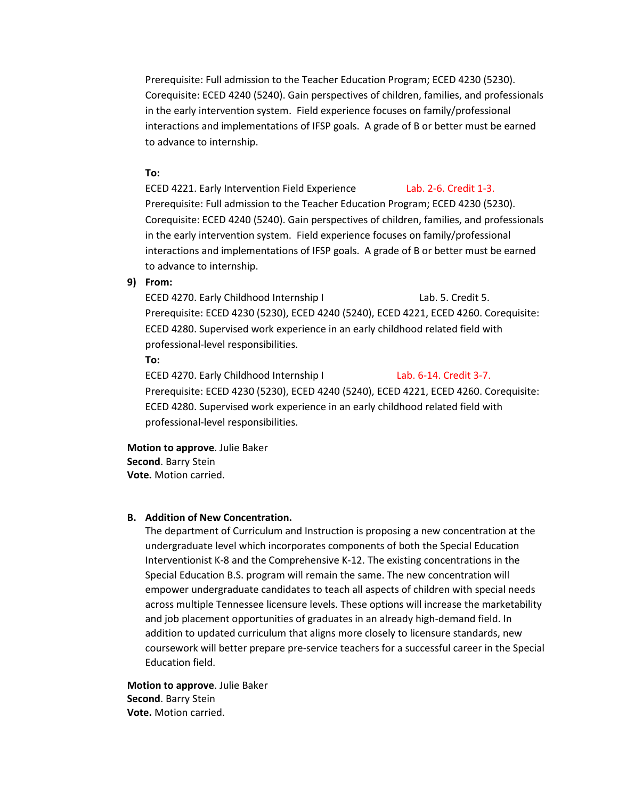Prerequisite: Full admission to the Teacher Education Program; ECED 4230 (5230). Corequisite: ECED 4240 (5240). Gain perspectives of children, families, and professionals in the early intervention system. Field experience focuses on family/professional interactions and implementations of IFSP goals. A grade of B or better must be earned to advance to internship.

### **To:**

ECED 4221. Early Intervention Field Experience Lab. 2-6. Credit 1-3. Prerequisite: Full admission to the Teacher Education Program; ECED 4230 (5230). Corequisite: ECED 4240 (5240). Gain perspectives of children, families, and professionals in the early intervention system. Field experience focuses on family/professional interactions and implementations of IFSP goals. A grade of B or better must be earned to advance to internship.

### **9) From:**

ECED 4270. Early Childhood Internship I Lab. 5. Credit 5. Prerequisite: ECED 4230 (5230), ECED 4240 (5240), ECED 4221, ECED 4260. Corequisite: ECED 4280. Supervised work experience in an early childhood related field with professional-level responsibilities.

**To:** 

ECED 4270. Early Childhood Internship I Lab. 6-14. Credit 3-7. Prerequisite: ECED 4230 (5230), ECED 4240 (5240), ECED 4221, ECED 4260. Corequisite: ECED 4280. Supervised work experience in an early childhood related field with professional-level responsibilities.

### **Motion to approve**. Julie Baker **Second**. Barry Stein **Vote.** Motion carried.

#### **B. Addition of New Concentration.**

The department of Curriculum and Instruction is proposing a new concentration at the undergraduate level which incorporates components of both the Special Education Interventionist K-8 and the Comprehensive K-12. The existing concentrations in the Special Education B.S. program will remain the same. The new concentration will empower undergraduate candidates to teach all aspects of children with special needs across multiple Tennessee licensure levels. These options will increase the marketability and job placement opportunities of graduates in an already high-demand field. In addition to updated curriculum that aligns more closely to licensure standards, new coursework will better prepare pre-service teachers for a successful career in the Special Education field.

**Motion to approve**. Julie Baker **Second**. Barry Stein **Vote.** Motion carried.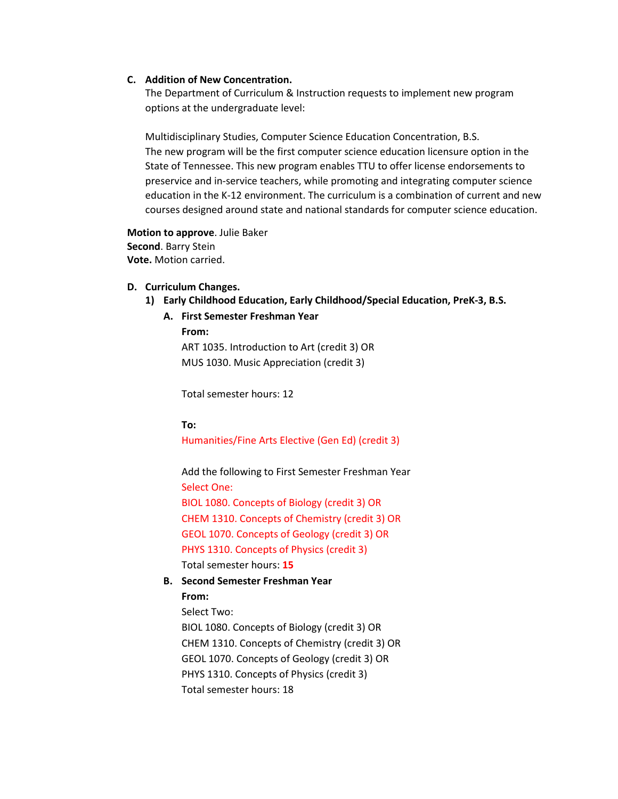#### **C. Addition of New Concentration.**

The Department of Curriculum & Instruction requests to implement new program options at the undergraduate level:

Multidisciplinary Studies, Computer Science Education Concentration, B.S. The new program will be the first computer science education licensure option in the State of Tennessee. This new program enables TTU to offer license endorsements to preservice and in-service teachers, while promoting and integrating computer science education in the K-12 environment. The curriculum is a combination of current and new courses designed around state and national standards for computer science education.

**Motion to approve**. Julie Baker **Second**. Barry Stein **Vote.** Motion carried.

#### **D. Curriculum Changes.**

- **1) Early Childhood Education, Early Childhood/Special Education, PreK-3, B.S.** 
	- **A. First Semester Freshman Year**

### **From:**

ART 1035. Introduction to Art (credit 3) OR MUS 1030. Music Appreciation (credit 3)

Total semester hours: 12

#### **To:**

Humanities/Fine Arts Elective (Gen Ed) (credit 3)

Add the following to First Semester Freshman Year Select One: BIOL 1080. Concepts of Biology (credit 3) OR CHEM 1310. Concepts of Chemistry (credit 3) OR GEOL 1070. Concepts of Geology (credit 3) OR PHYS 1310. Concepts of Physics (credit 3) Total semester hours: **15**

**B. Second Semester Freshman Year**

#### **From:**

Select Two:

BIOL 1080. Concepts of Biology (credit 3) OR CHEM 1310. Concepts of Chemistry (credit 3) OR GEOL 1070. Concepts of Geology (credit 3) OR PHYS 1310. Concepts of Physics (credit 3) Total semester hours: 18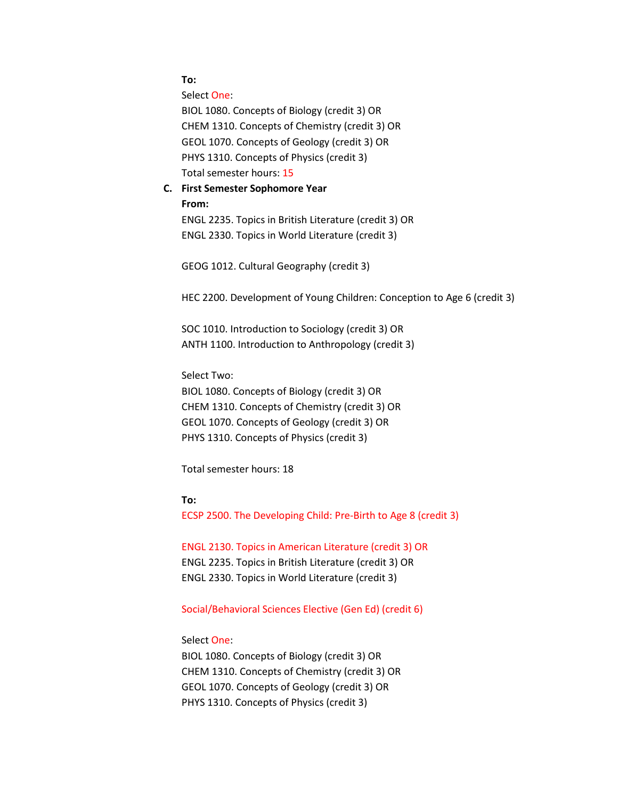**To:**

Select One: BIOL 1080. Concepts of Biology (credit 3) OR CHEM 1310. Concepts of Chemistry (credit 3) OR GEOL 1070. Concepts of Geology (credit 3) OR PHYS 1310. Concepts of Physics (credit 3) Total semester hours: 15

# **C. First Semester Sophomore Year From:** ENGL 2235. Topics in British Literature (credit 3) OR

ENGL 2330. Topics in World Literature (credit 3)

GEOG 1012. Cultural Geography (credit 3)

HEC 2200. Development of Young Children: Conception to Age 6 (credit 3)

SOC 1010. Introduction to Sociology (credit 3) OR ANTH 1100. Introduction to Anthropology (credit 3)

Select Two:

BIOL 1080. Concepts of Biology (credit 3) OR CHEM 1310. Concepts of Chemistry (credit 3) OR GEOL 1070. Concepts of Geology (credit 3) OR PHYS 1310. Concepts of Physics (credit 3)

Total semester hours: 18

**To:**

ECSP 2500. The Developing Child: Pre-Birth to Age 8 (credit 3)

ENGL 2130. Topics in American Literature (credit 3) OR ENGL 2235. Topics in British Literature (credit 3) OR ENGL 2330. Topics in World Literature (credit 3)

#### Social/Behavioral Sciences Elective (Gen Ed) (credit 6)

Select One:

BIOL 1080. Concepts of Biology (credit 3) OR CHEM 1310. Concepts of Chemistry (credit 3) OR GEOL 1070. Concepts of Geology (credit 3) OR PHYS 1310. Concepts of Physics (credit 3)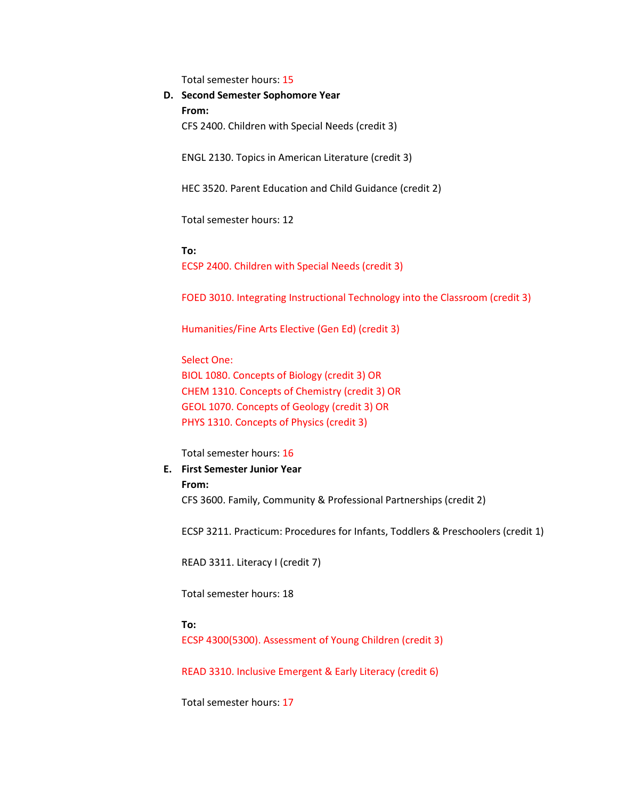Total semester hours: 15

**D. Second Semester Sophomore Year From:** CFS 2400. Children with Special Needs (credit 3)

ENGL 2130. Topics in American Literature (credit 3)

HEC 3520. Parent Education and Child Guidance (credit 2)

Total semester hours: 12

**To:**

ECSP 2400. Children with Special Needs (credit 3)

FOED 3010. Integrating Instructional Technology into the Classroom (credit 3)

Humanities/Fine Arts Elective (Gen Ed) (credit 3)

Select One: BIOL 1080. Concepts of Biology (credit 3) OR CHEM 1310. Concepts of Chemistry (credit 3) OR GEOL 1070. Concepts of Geology (credit 3) OR PHYS 1310. Concepts of Physics (credit 3)

Total semester hours: 16

#### **E. First Semester Junior Year**

#### **From:**

CFS 3600. Family, Community & Professional Partnerships (credit 2)

ECSP 3211. Practicum: Procedures for Infants, Toddlers & Preschoolers (credit 1)

READ 3311. Literacy I (credit 7)

Total semester hours: 18

**To:**

ECSP 4300(5300). Assessment of Young Children (credit 3)

READ 3310. Inclusive Emergent & Early Literacy (credit 6)

Total semester hours: 17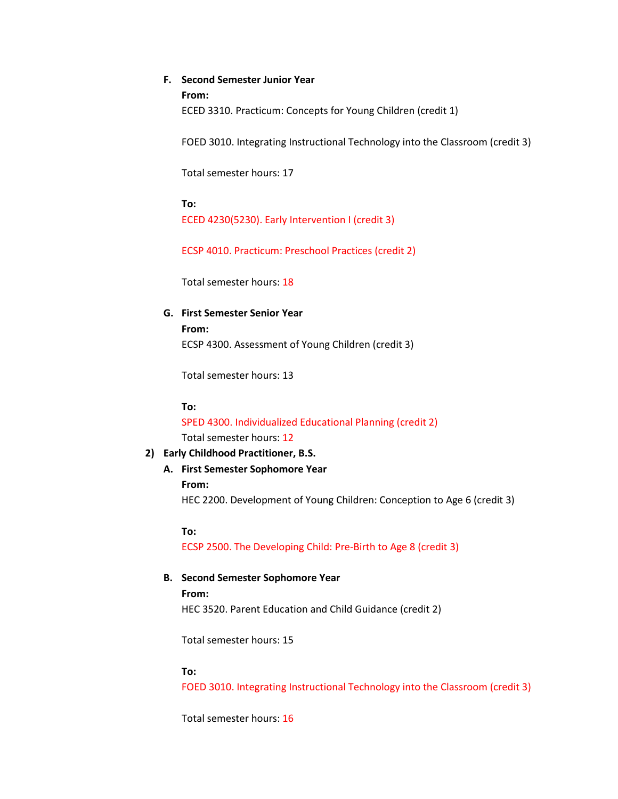### **F. Second Semester Junior Year**

**From:**

ECED 3310. Practicum: Concepts for Young Children (credit 1)

FOED 3010. Integrating Instructional Technology into the Classroom (credit 3)

Total semester hours: 17

**To:** ECED 4230(5230). Early Intervention I (credit 3)

ECSP 4010. Practicum: Preschool Practices (credit 2)

Total semester hours: 18

**G. First Semester Senior Year From:** ECSP 4300. Assessment of Young Children (credit 3)

Total semester hours: 13

**To:**

SPED 4300. Individualized Educational Planning (credit 2) Total semester hours: 12

### **2) Early Childhood Practitioner, B.S.**

**A. First Semester Sophomore Year From:** HEC 2200. Development of Young Children: Conception to Age 6 (credit 3)

**To:**

ECSP 2500. The Developing Child: Pre-Birth to Age 8 (credit 3)

# **B. Second Semester Sophomore Year**

**From:** HEC 3520. Parent Education and Child Guidance (credit 2)

Total semester hours: 15

### **To:**

FOED 3010. Integrating Instructional Technology into the Classroom (credit 3)

Total semester hours: 16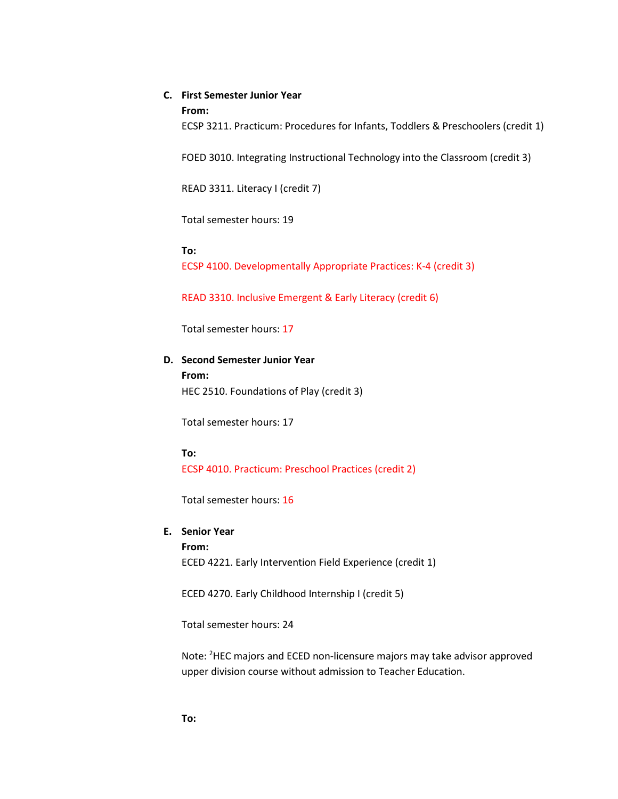### **C. First Semester Junior Year**

#### **From:**

ECSP 3211. Practicum: Procedures for Infants, Toddlers & Preschoolers (credit 1)

FOED 3010. Integrating Instructional Technology into the Classroom (credit 3)

READ 3311. Literacy I (credit 7)

Total semester hours: 19

#### **To:**

ECSP 4100. Developmentally Appropriate Practices: K-4 (credit 3)

READ 3310. Inclusive Emergent & Early Literacy (credit 6)

Total semester hours: 17

#### **D. Second Semester Junior Year**

**From:** HEC 2510. Foundations of Play (credit 3)

Total semester hours: 17

#### **To:**

ECSP 4010. Practicum: Preschool Practices (credit 2)

Total semester hours: 16

# **E. Senior Year From:**

ECED 4221. Early Intervention Field Experience (credit 1)

ECED 4270. Early Childhood Internship I (credit 5)

Total semester hours: 24

Note: <sup>2</sup>HEC majors and ECED non-licensure majors may take advisor approved upper division course without admission to Teacher Education.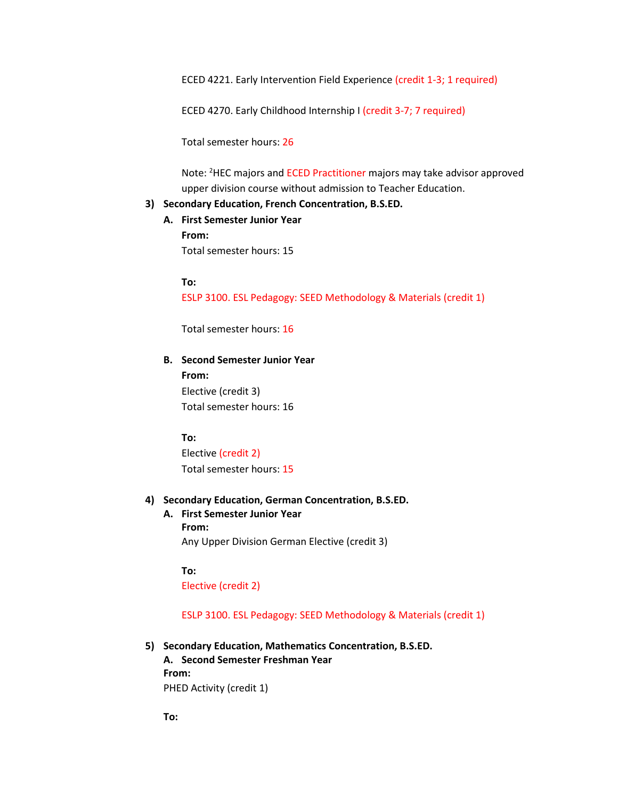ECED 4221. Early Intervention Field Experience (credit 1-3; 1 required)

ECED 4270. Early Childhood Internship I (credit 3-7; 7 required)

Total semester hours: 26

Note: <sup>2</sup>HEC majors and ECED Practitioner majors may take advisor approved upper division course without admission to Teacher Education.

### **3) Secondary Education, French Concentration, B.S.ED.**

**A. First Semester Junior Year From:** Total semester hours: 15

**To:**

ESLP 3100. ESL Pedagogy: SEED Methodology & Materials (credit 1)

Total semester hours: 16

### **B. Second Semester Junior Year**

**From:** Elective (credit 3) Total semester hours: 16

#### **To:**

Elective (credit 2) Total semester hours: 15

#### **4) Secondary Education, German Concentration, B.S.ED.**

**A. First Semester Junior Year From:** Any Upper Division German Elective (credit 3)

#### **To:**

Elective (credit 2)

ESLP 3100. ESL Pedagogy: SEED Methodology & Materials (credit 1)

**5) Secondary Education, Mathematics Concentration, B.S.ED.**

**A. Second Semester Freshman Year From:** PHED Activity (credit 1)

**To:**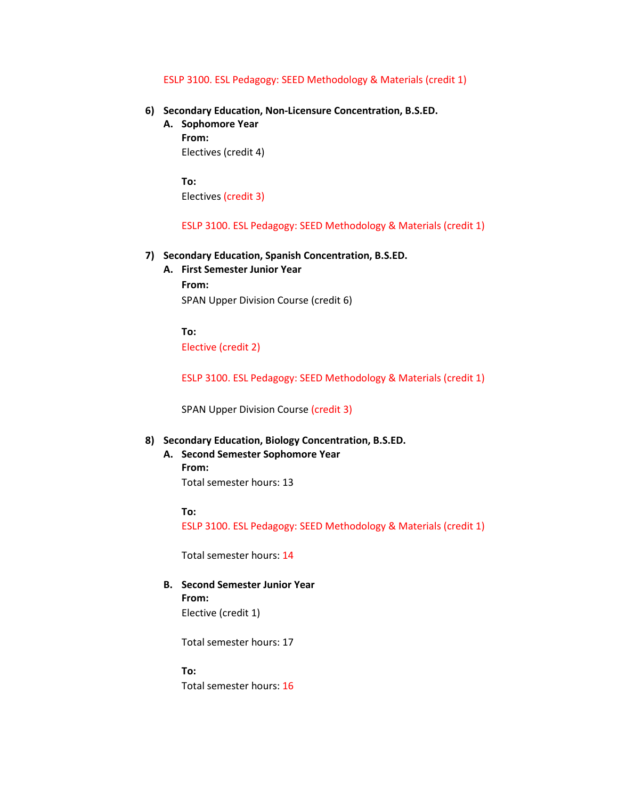#### ESLP 3100. ESL Pedagogy: SEED Methodology & Materials (credit 1)

- **6) Secondary Education, Non-Licensure Concentration, B.S.ED.**
	- **A. Sophomore Year From:** Electives (credit 4)

**To:** Electives (credit 3)

ESLP 3100. ESL Pedagogy: SEED Methodology & Materials (credit 1)

#### **7) Secondary Education, Spanish Concentration, B.S.ED.**

**A. First Semester Junior Year From:** SPAN Upper Division Course (credit 6)

**To:** Elective (credit 2)

ESLP 3100. ESL Pedagogy: SEED Methodology & Materials (credit 1)

SPAN Upper Division Course (credit 3)

#### **8) Secondary Education, Biology Concentration, B.S.ED.**

**A. Second Semester Sophomore Year From:** Total semester hours: 13

**To:**

ESLP 3100. ESL Pedagogy: SEED Methodology & Materials (credit 1)

Total semester hours: 14

**B. Second Semester Junior Year From:** Elective (credit 1)

Total semester hours: 17

**To:**

Total semester hours: 16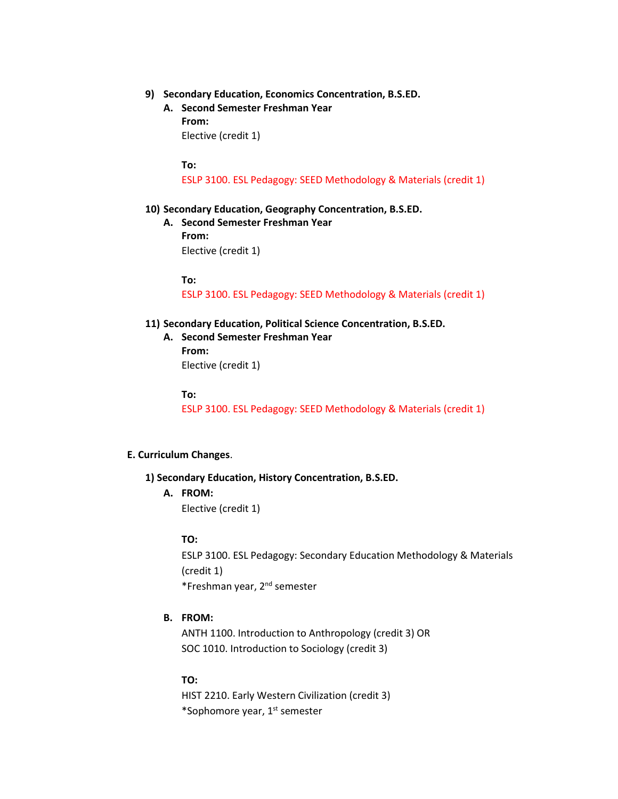- **9) Secondary Education, Economics Concentration, B.S.ED.**
	- **A. Second Semester Freshman Year From:** Elective (credit 1)

**To:**

ESLP 3100. ESL Pedagogy: SEED Methodology & Materials (credit 1)

- **10) Secondary Education, Geography Concentration, B.S.ED.**
	- **A. Second Semester Freshman Year From:** Elective (credit 1)

**To:**

ESLP 3100. ESL Pedagogy: SEED Methodology & Materials (credit 1)

- **11) Secondary Education, Political Science Concentration, B.S.ED.**
	- **A. Second Semester Freshman Year From:** Elective (credit 1)

**To:**

ESLP 3100. ESL Pedagogy: SEED Methodology & Materials (credit 1)

#### **E. Curriculum Changes**.

#### **1) Secondary Education, History Concentration, B.S.ED.**

**A. FROM:**

Elective (credit 1)

### **TO:**

ESLP 3100. ESL Pedagogy: Secondary Education Methodology & Materials (credit 1) \*Freshman year, 2nd semester

### **B. FROM:**

ANTH 1100. Introduction to Anthropology (credit 3) OR SOC 1010. Introduction to Sociology (credit 3)

#### **TO:**

HIST 2210. Early Western Civilization (credit 3) \*Sophomore year, 1<sup>st</sup> semester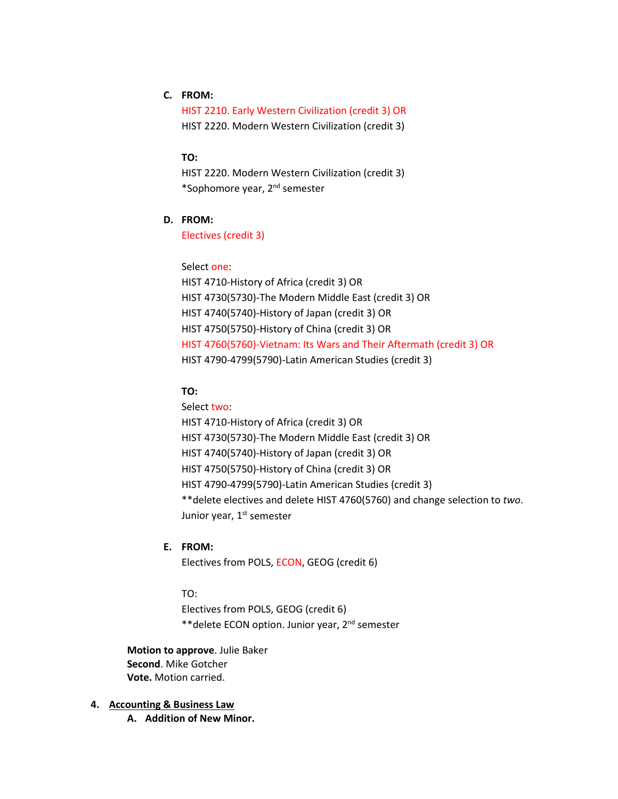# **C. FROM:**

HIST 2210. Early Western Civilization (credit 3) OR HIST 2220. Modern Western Civilization (credit 3)

### **TO:**

HIST 2220. Modern Western Civilization (credit 3) \*Sophomore year, 2nd semester

# **D. FROM:**

Electives (credit 3)

#### Select one:

HIST 4710-History of Africa (credit 3) OR HIST 4730(5730)-The Modern Middle East (credit 3) OR HIST 4740(5740)-History of Japan (credit 3) OR HIST 4750(5750)-History of China (credit 3) OR HIST 4760(5760)-Vietnam: Its Wars and Their Aftermath (credit 3) OR HIST 4790-4799(5790)-Latin American Studies (credit 3)

### **TO:**

# Select two: HIST 4710-History of Africa (credit 3) OR HIST 4730(5730)-The Modern Middle East (credit 3) OR HIST 4740(5740)-History of Japan (credit 3) OR HIST 4750(5750)-History of China (credit 3) OR HIST 4790-4799(5790)-Latin American Studies (credit 3) \*\*delete electives and delete HIST 4760(5760) and change selection to *two*. Junior year, 1<sup>st</sup> semester

### **E. FROM:**

Electives from POLS, ECON, GEOG (credit 6)

#### TO:

Electives from POLS, GEOG (credit 6) \*\*delete ECON option. Junior year, 2nd semester

**Motion to approve**. Julie Baker **Second**. Mike Gotcher **Vote.** Motion carried.

### **4. Accounting & Business Law**

**A. Addition of New Minor.**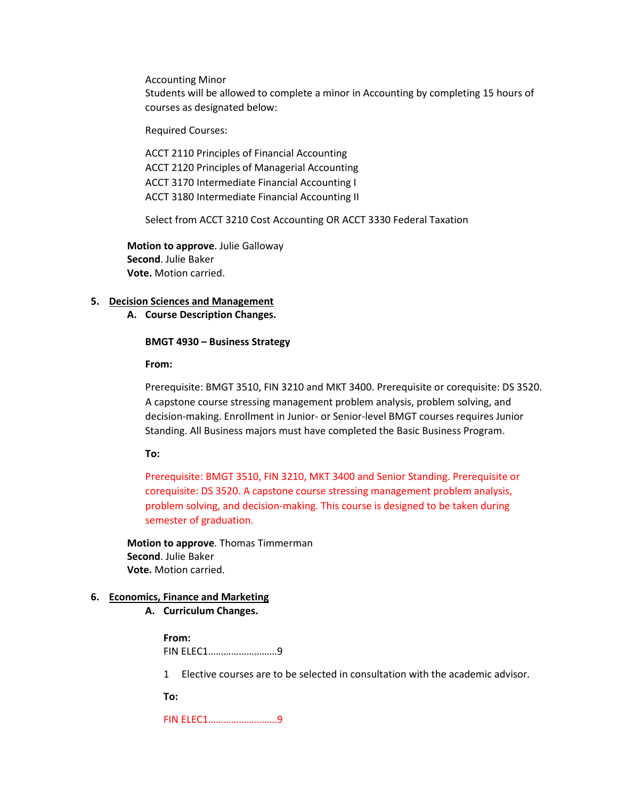Accounting Minor

Students will be allowed to complete a minor in Accounting by completing 15 hours of courses as designated below:

Required Courses:

ACCT 2110 Principles of Financial Accounting ACCT 2120 Principles of Managerial Accounting ACCT 3170 Intermediate Financial Accounting I ACCT 3180 Intermediate Financial Accounting II

Select from ACCT 3210 Cost Accounting OR ACCT 3330 Federal Taxation

**Motion to approve**. Julie Galloway **Second**. Julie Baker **Vote.** Motion carried.

#### **5. Decision Sciences and Management**

**A. Course Description Changes.**

#### **BMGT 4930 – Business Strategy**

**From:** 

Prerequisite: BMGT 3510, FIN 3210 and MKT 3400. Prerequisite or corequisite: DS 3520. A capstone course stressing management problem analysis, problem solving, and decision-making. Enrollment in Junior- or Senior-level BMGT courses requires Junior Standing. All Business majors must have completed the Basic Business Program.

**To:** 

Prerequisite: BMGT 3510, FIN 3210, MKT 3400 and Senior Standing. Prerequisite or corequisite: DS 3520. A capstone course stressing management problem analysis, problem solving, and decision-making. This course is designed to be taken during semester of graduation.

**Motion to approve**. Thomas Timmerman **Second**. Julie Baker **Vote.** Motion carried.

#### **6. Economics, Finance and Marketing**

**A. Curriculum Changes.**

**From:** FIN ELEC1………………………9

1 Elective courses are to be selected in consultation with the academic advisor.

**To:**

FIN ELEC1………………………9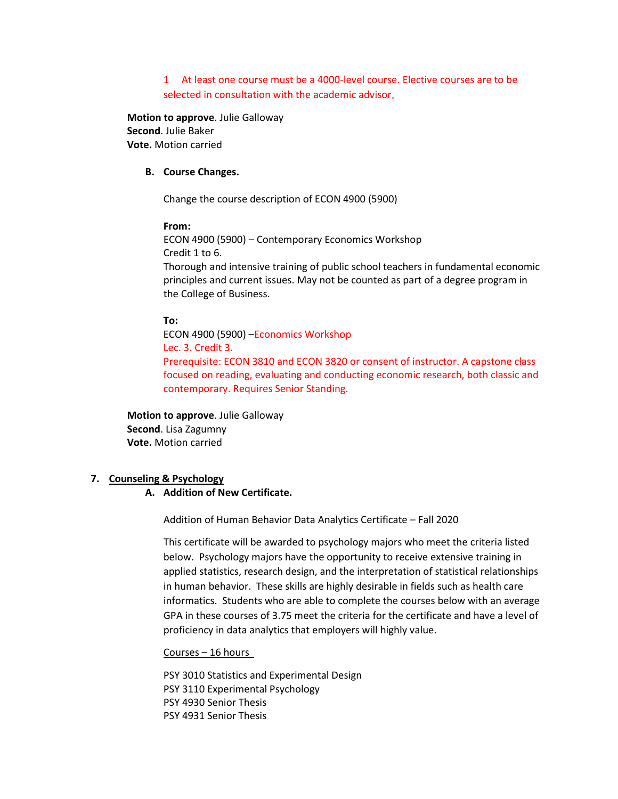1 At least one course must be a 4000-level course. Elective courses are to be selected in consultation with the academic advisor.

**Motion to approve**. Julie Galloway **Second**. Julie Baker **Vote.** Motion carried

### **B. Course Changes.**

Change the course description of ECON 4900 (5900)

#### **From:**

ECON 4900 (5900) – Contemporary Economics Workshop Credit 1 to 6. Thorough and intensive training of public school teachers in fundamental economic principles and current issues. May not be counted as part of a degree program in the College of Business.

#### **To:**

ECON 4900 (5900) –Economics Workshop Lec. 3. Credit 3. Prerequisite: ECON 3810 and ECON 3820 or consent of instructor. A capstone class focused on reading, evaluating and conducting economic research, both classic and contemporary. Requires Senior Standing.

**Motion to approve**. Julie Galloway **Second**. Lisa Zagumny **Vote.** Motion carried

#### **7. Counseling & Psychology**

#### **A. Addition of New Certificate.**

Addition of Human Behavior Data Analytics Certificate – Fall 2020

This certificate will be awarded to psychology majors who meet the criteria listed below. Psychology majors have the opportunity to receive extensive training in applied statistics, research design, and the interpretation of statistical relationships in human behavior. These skills are highly desirable in fields such as health care informatics. Students who are able to complete the courses below with an average GPA in these courses of 3.75 meet the criteria for the certificate and have a level of proficiency in data analytics that employers will highly value.

#### Courses – 16 hours

PSY 3010 Statistics and Experimental Design PSY 3110 Experimental Psychology PSY 4930 Senior Thesis PSY 4931 Senior Thesis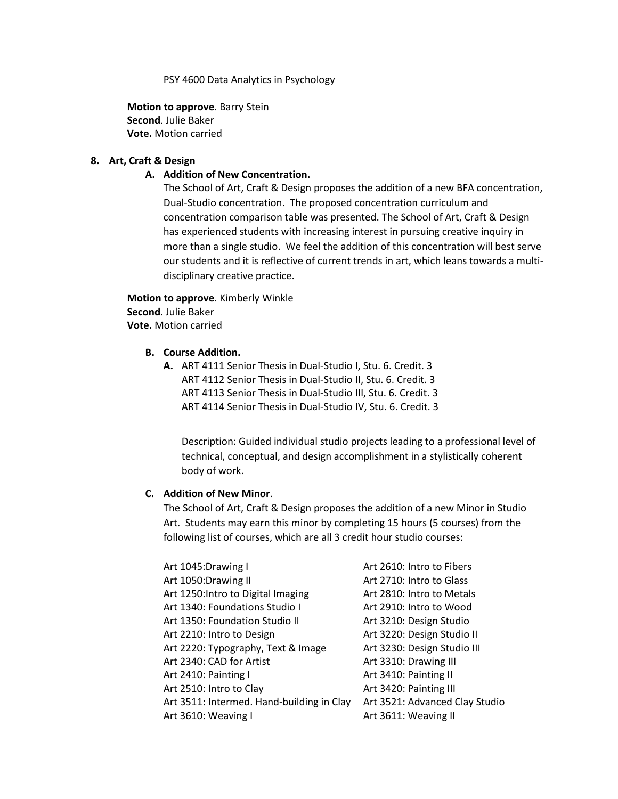PSY 4600 Data Analytics in Psychology

**Motion to approve**. Barry Stein **Second**. Julie Baker **Vote.** Motion carried

### **8. Art, Craft & Design**

### **A. Addition of New Concentration.**

The School of Art, Craft & Design proposes the addition of a new BFA concentration, Dual-Studio concentration. The proposed concentration curriculum and concentration comparison table was presented. The School of Art, Craft & Design has experienced students with increasing interest in pursuing creative inquiry in more than a single studio. We feel the addition of this concentration will best serve our students and it is reflective of current trends in art, which leans towards a multidisciplinary creative practice.

**Motion to approve**. Kimberly Winkle **Second**. Julie Baker **Vote.** Motion carried

### **B. Course Addition.**

**A.** ART 4111 Senior Thesis in Dual-Studio I, Stu. 6. Credit. 3 ART 4112 Senior Thesis in Dual-Studio II, Stu. 6. Credit. 3 ART 4113 Senior Thesis in Dual-Studio III, Stu. 6. Credit. 3 ART 4114 Senior Thesis in Dual-Studio IV, Stu. 6. Credit. 3

Description: Guided individual studio projects leading to a professional level of technical, conceptual, and design accomplishment in a stylistically coherent body of work.

### **C. Addition of New Minor**.

The School of Art, Craft & Design proposes the addition of a new Minor in Studio Art. Students may earn this minor by completing 15 hours (5 courses) from the following list of courses, which are all 3 credit hour studio courses:

| Art 1045: Drawing I                       | Art 2610: Intro to Fibers      |
|-------------------------------------------|--------------------------------|
| Art 1050:Drawing II                       | Art 2710: Intro to Glass       |
| Art 1250: Intro to Digital Imaging        | Art 2810: Intro to Metals      |
| Art 1340: Foundations Studio I            | Art 2910: Intro to Wood        |
| Art 1350: Foundation Studio II            | Art 3210: Design Studio        |
| Art 2210: Intro to Design                 | Art 3220: Design Studio II     |
| Art 2220: Typography, Text & Image        | Art 3230: Design Studio III    |
| Art 2340: CAD for Artist                  | Art 3310: Drawing III          |
| Art 2410: Painting I                      | Art 3410: Painting II          |
| Art 2510: Intro to Clay                   | Art 3420: Painting III         |
| Art 3511: Intermed. Hand-building in Clay | Art 3521: Advanced Clay Studio |
| Art 3610: Weaving I                       | Art 3611: Weaving II           |
|                                           |                                |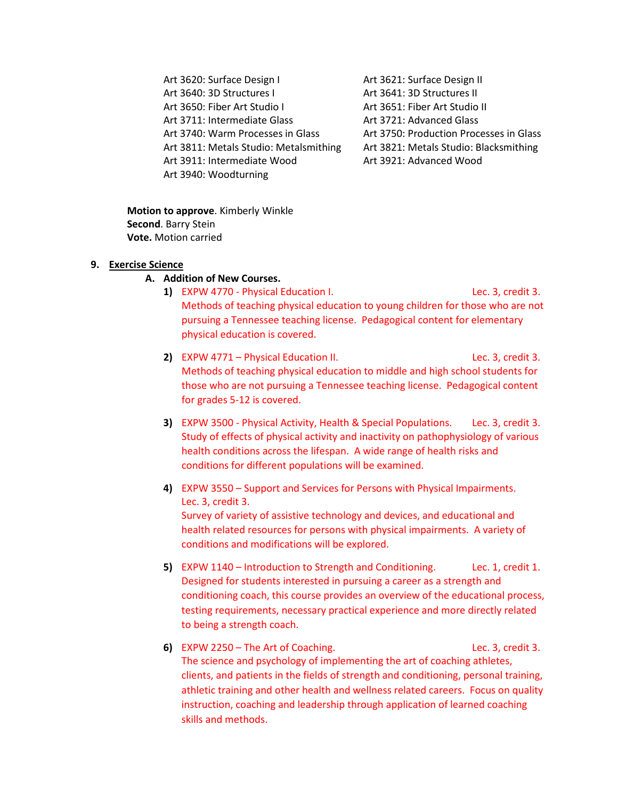Art 3620: Surface Design I Art 3621: Surface Design II Art 3640: 3D Structures I Art 3641: 3D Structures II Art 3650: Fiber Art Studio I Art 3651: Fiber Art Studio II Art 3711: Intermediate Glass **Art 3721: Advanced Glass** Art 3740: Warm Processes in Glass Art 3750: Production Processes in Glass Art 3811: Metals Studio: Metalsmithing Art 3821: Metals Studio: Blacksmithing Art 3911: Intermediate Wood Art 3921: Advanced Wood Art 3940: Woodturning

**Motion to approve**. Kimberly Winkle **Second**. Barry Stein **Vote.** Motion carried

#### **9. Exercise Science**

### **A. Addition of New Courses.**

- **1)** EXPW 4770 Physical Education I. Lec. 3, credit 3. Methods of teaching physical education to young children for those who are not pursuing a Tennessee teaching license. Pedagogical content for elementary physical education is covered.
- **2)** EXPW 4771 Physical Education II. Lec. 3, credit 3. Methods of teaching physical education to middle and high school students for those who are not pursuing a Tennessee teaching license. Pedagogical content for grades 5-12 is covered.
- **3)** EXPW 3500 Physical Activity, Health & Special Populations. Lec. 3, credit 3. Study of effects of physical activity and inactivity on pathophysiology of various health conditions across the lifespan. A wide range of health risks and conditions for different populations will be examined.
- **4)** EXPW 3550 Support and Services for Persons with Physical Impairments. Lec. 3, credit 3. Survey of variety of assistive technology and devices, and educational and health related resources for persons with physical impairments. A variety of conditions and modifications will be explored.
- **5)** EXPW 1140 Introduction to Strength and Conditioning. Lec. 1, credit 1. Designed for students interested in pursuing a career as a strength and conditioning coach, this course provides an overview of the educational process, testing requirements, necessary practical experience and more directly related to being a strength coach.
- **6)** EXPW 2250 The Art of Coaching. Lec. 3, credit 3. The science and psychology of implementing the art of coaching athletes, clients, and patients in the fields of strength and conditioning, personal training, athletic training and other health and wellness related careers. Focus on quality instruction, coaching and leadership through application of learned coaching skills and methods.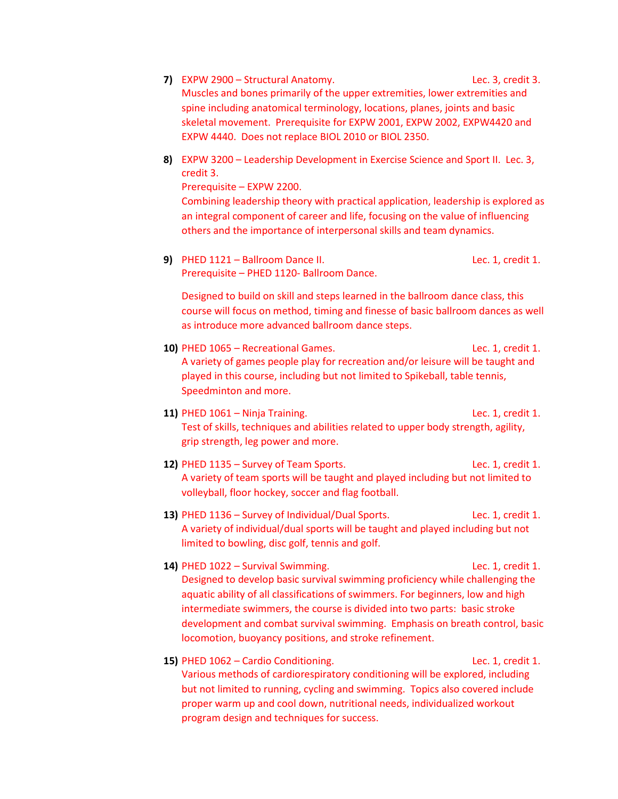- **7)** EXPW 2900 Structural Anatomy. Lec. 3, credit 3. Muscles and bones primarily of the upper extremities, lower extremities and spine including anatomical terminology, locations, planes, joints and basic skeletal movement. Prerequisite for EXPW 2001, EXPW 2002, EXPW4420 and EXPW 4440. Does not replace BIOL 2010 or BIOL 2350.
- **8)** EXPW 3200 Leadership Development in Exercise Science and Sport II. Lec. 3, credit 3.

Prerequisite – EXPW 2200.

Combining leadership theory with practical application, leadership is explored as an integral component of career and life, focusing on the value of influencing others and the importance of interpersonal skills and team dynamics.

**9)** PHED 1121 – Ballroom Dance II. **Lec. 1, credit 1.** Prerequisite – PHED 1120- Ballroom Dance.

Designed to build on skill and steps learned in the ballroom dance class, this course will focus on method, timing and finesse of basic ballroom dances as well as introduce more advanced ballroom dance steps.

- **10)** PHED 1065 Recreational Games. Lec. 1, credit 1. A variety of games people play for recreation and/or leisure will be taught and played in this course, including but not limited to Spikeball, table tennis, Speedminton and more.
- **11)** PHED 1061 Ninja Training. Lec. 1, credit 1. Test of skills, techniques and abilities related to upper body strength, agility, grip strength, leg power and more.
- **12)** PHED 1135 Survey of Team Sports. Lec. 1, credit 1. A variety of team sports will be taught and played including but not limited to volleyball, floor hockey, soccer and flag football.
- **13)** PHED 1136 Survey of Individual/Dual Sports. Lec. 1, credit 1. A variety of individual/dual sports will be taught and played including but not limited to bowling, disc golf, tennis and golf.
- **14)** PHED 1022 Survival Swimming. Lec. 1, credit 1. Designed to develop basic survival swimming proficiency while challenging the aquatic ability of all classifications of swimmers. For beginners, low and high intermediate swimmers, the course is divided into two parts: basic stroke development and combat survival swimming. Emphasis on breath control, basic locomotion, buoyancy positions, and stroke refinement.
- **15)** PHED 1062 Cardio Conditioning. Lec. 1, credit 1. Various methods of cardiorespiratory conditioning will be explored, including but not limited to running, cycling and swimming. Topics also covered include proper warm up and cool down, nutritional needs, individualized workout program design and techniques for success.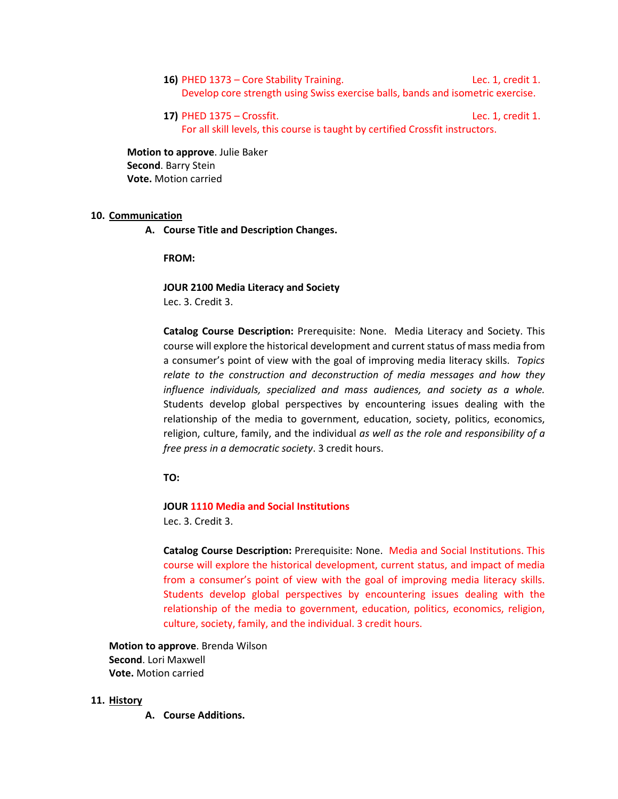- **16)** PHED 1373 Core Stability Training. Lec. 1, credit 1. Develop core strength using Swiss exercise balls, bands and isometric exercise.
- **17)** PHED 1375 Crossfit. Lec. 1, credit 1. For all skill levels, this course is taught by certified Crossfit instructors.

**Motion to approve**. Julie Baker **Second**. Barry Stein **Vote.** Motion carried

#### **10. Communication**

**A. Course Title and Description Changes.**

**FROM:**

**JOUR 2100 Media Literacy and Society** Lec. 3. Credit 3.

**Catalog Course Description:** Prerequisite: None. Media Literacy and Society. This course will explore the historical development and current status of mass media from a consumer's point of view with the goal of improving media literacy skills. *Topics relate to the construction and deconstruction of media messages and how they influence individuals, specialized and mass audiences, and society as a whole.* Students develop global perspectives by encountering issues dealing with the relationship of the media to government, education, society, politics, economics, religion, culture, family, and the individual *as well as the role and responsibility of a free press in a democratic society*. 3 credit hours.

**TO:**

#### **JOUR 1110 Media and Social Institutions**

Lec. 3. Credit 3.

**Catalog Course Description:** Prerequisite: None. Media and Social Institutions. This course will explore the historical development, current status, and impact of media from a consumer's point of view with the goal of improving media literacy skills. Students develop global perspectives by encountering issues dealing with the relationship of the media to government, education, politics, economics, religion, culture, society, family, and the individual. 3 credit hours.

**Motion to approve**. Brenda Wilson **Second**. Lori Maxwell **Vote.** Motion carried

### **11. History**

**A. Course Additions.**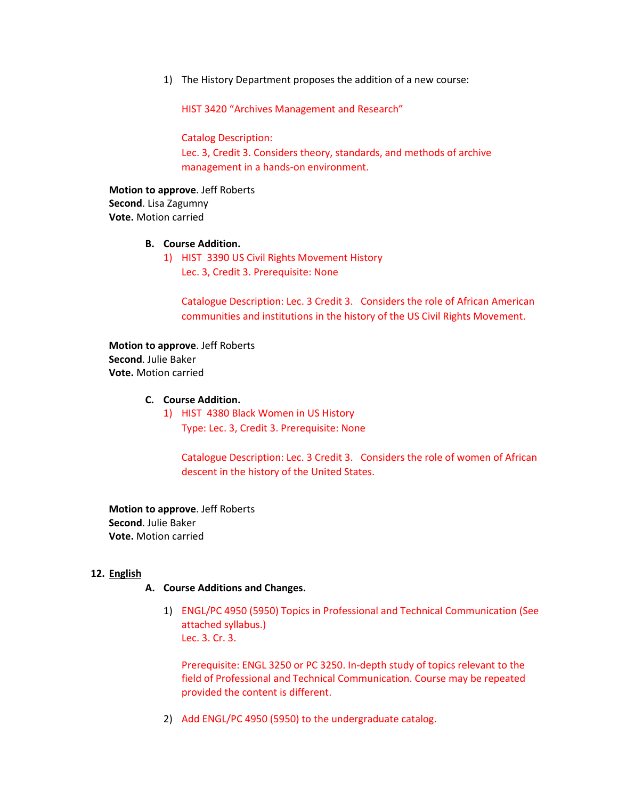1) The History Department proposes the addition of a new course:

HIST 3420 "Archives Management and Research"

Catalog Description:

Lec. 3, Credit 3. Considers theory, standards, and methods of archive management in a hands-on environment.

**Motion to approve**. Jeff Roberts **Second**. Lisa Zagumny **Vote.** Motion carried

### **B. Course Addition.**

1) HIST 3390 US Civil Rights Movement History Lec. 3, Credit 3. Prerequisite: None

Catalogue Description: Lec. 3 Credit 3. Considers the role of African American communities and institutions in the history of the US Civil Rights Movement.

**Motion to approve**. Jeff Roberts **Second**. Julie Baker **Vote.** Motion carried

### **C. Course Addition.**

1) HIST 4380 Black Women in US History Type: Lec. 3, Credit 3. Prerequisite: None

Catalogue Description: Lec. 3 Credit 3. Considers the role of women of African descent in the history of the United States.

**Motion to approve**. Jeff Roberts **Second**. Julie Baker **Vote.** Motion carried

#### **12. English**

### **A. Course Additions and Changes.**

1) ENGL/PC 4950 (5950) Topics in Professional and Technical Communication (See attached syllabus.) Lec. 3. Cr. 3.

Prerequisite: ENGL 3250 or PC 3250. In-depth study of topics relevant to the field of Professional and Technical Communication. Course may be repeated provided the content is different.

2) Add ENGL/PC 4950 (5950) to the undergraduate catalog.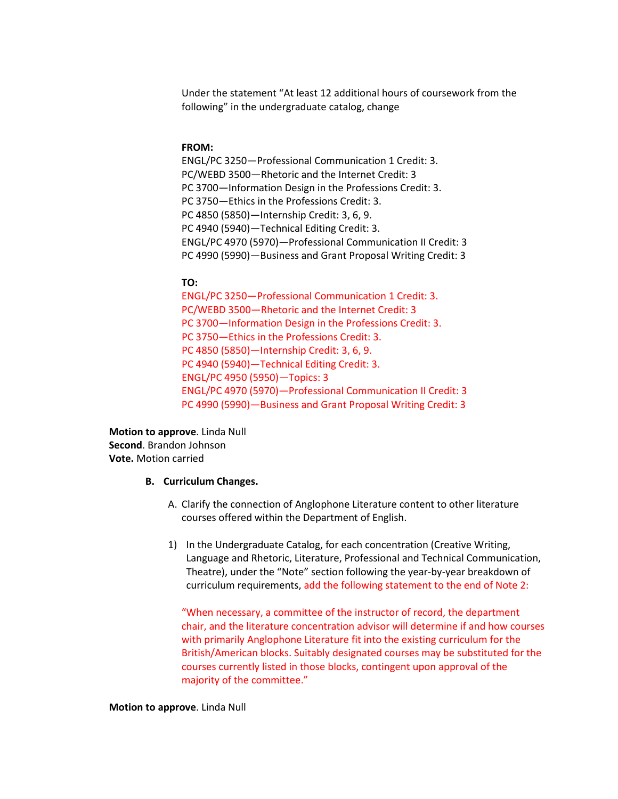Under the statement "At least 12 additional hours of coursework from the following" in the undergraduate catalog, change

#### **FROM:**

ENGL/PC 3250—Professional Communication 1 Credit: 3. PC/WEBD 3500—Rhetoric and the Internet Credit: 3 PC 3700—Information Design in the Professions Credit: 3. PC 3750—Ethics in the Professions Credit: 3. PC 4850 (5850)—Internship Credit: 3, 6, 9. PC 4940 (5940)—Technical Editing Credit: 3. ENGL/PC 4970 (5970)—Professional Communication II Credit: 3 PC 4990 (5990)—Business and Grant Proposal Writing Credit: 3

#### **TO:**

ENGL/PC 3250—Professional Communication 1 Credit: 3. PC/WEBD 3500—Rhetoric and the Internet Credit: 3 PC 3700—Information Design in the Professions Credit: 3. PC 3750—Ethics in the Professions Credit: 3. PC 4850 (5850)—Internship Credit: 3, 6, 9. PC 4940 (5940)—Technical Editing Credit: 3. ENGL/PC 4950 (5950)—Topics: 3 ENGL/PC 4970 (5970)—Professional Communication II Credit: 3 PC 4990 (5990)—Business and Grant Proposal Writing Credit: 3

**Motion to approve**. Linda Null **Second**. Brandon Johnson **Vote.** Motion carried

#### **B. Curriculum Changes.**

- A. Clarify the connection of Anglophone Literature content to other literature courses offered within the Department of English.
- 1) In the Undergraduate Catalog, for each concentration (Creative Writing, Language and Rhetoric, Literature, Professional and Technical Communication, Theatre), under the "Note" section following the year-by-year breakdown of curriculum requirements, add the following statement to the end of Note 2:

"When necessary, a committee of the instructor of record, the department chair, and the literature concentration advisor will determine if and how courses with primarily Anglophone Literature fit into the existing curriculum for the British/American blocks. Suitably designated courses may be substituted for the courses currently listed in those blocks, contingent upon approval of the majority of the committee."

#### **Motion to approve**. Linda Null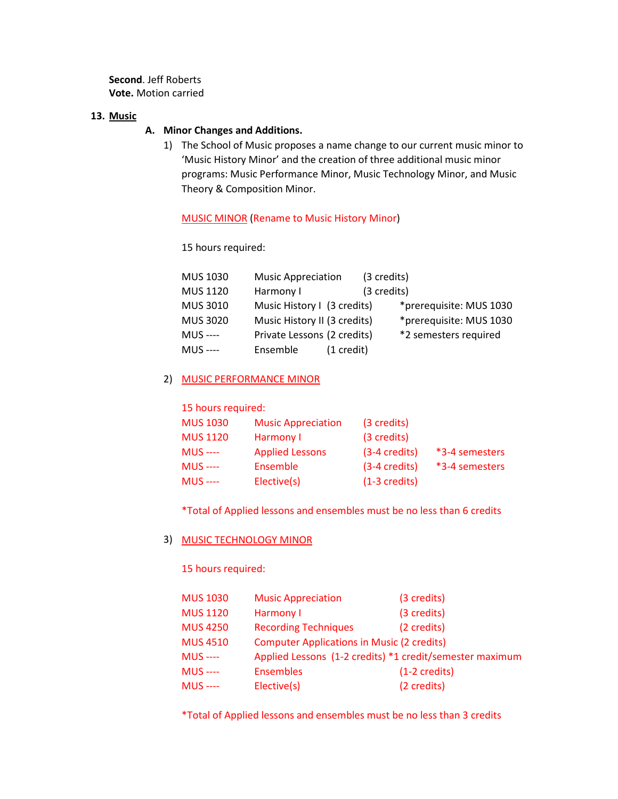**Second**. Jeff Roberts **Vote.** Motion carried

### **13. Music**

### **A. Minor Changes and Additions.**

1) The School of Music proposes a name change to our current music minor to 'Music History Minor' and the creation of three additional music minor programs: Music Performance Minor, Music Technology Minor, and Music Theory & Composition Minor.

#### MUSIC MINOR (Rename to Music History Minor)

15 hours required:

| MUS 1030        | <b>Music Appreciation</b>    |                      | (3 credits) |                         |
|-----------------|------------------------------|----------------------|-------------|-------------------------|
| <b>MUS 1120</b> | Harmony I                    |                      | (3 credits) |                         |
| <b>MUS 3010</b> | Music History I (3 credits)  |                      |             | *prerequisite: MUS 1030 |
| <b>MUS 3020</b> | Music History II (3 credits) |                      |             | *prerequisite: MUS 1030 |
| <b>MUS</b> ---- | Private Lessons (2 credits)  |                      |             | *2 semesters required   |
| <b>MUS</b> ---- | Ensemble                     | $(1 \text{ credit})$ |             |                         |

### 2) MUSIC PERFORMANCE MINOR

15 hours required:

| <b>MUS 1030</b> | <b>Music Appreciation</b> | (3 credits)             |                |
|-----------------|---------------------------|-------------------------|----------------|
| <b>MUS 1120</b> | Harmony I                 | (3 credits)             |                |
| $MUS$ ----      | <b>Applied Lessons</b>    | $(3-4 \text{ credits})$ | *3-4 semesters |
| $MUS$ ----      | Ensemble                  | $(3-4 \text{ credits})$ | *3-4 semesters |
| $MUS$ ----      | Elective(s)               | $(1-3 \text{ credits})$ |                |

\*Total of Applied lessons and ensembles must be no less than 6 credits

### 3) MUSIC TECHNOLOGY MINOR

15 hours required:

| <b>MUS 1030</b> | <b>Music Appreciation</b>                                | (3 credits)             |
|-----------------|----------------------------------------------------------|-------------------------|
| <b>MUS 1120</b> | Harmony I                                                | (3 credits)             |
| <b>MUS 4250</b> | <b>Recording Techniques</b>                              | (2 credits)             |
| <b>MUS 4510</b> | <b>Computer Applications in Music (2 credits)</b>        |                         |
| <b>MUS</b> ---- | Applied Lessons (1-2 credits) *1 credit/semester maximum |                         |
| $MUS$ ----      | <b>Ensembles</b>                                         | $(1-2 \text{ credits})$ |
| <b>MUS</b> ---- | Elective(s)                                              | (2 credits)             |

\*Total of Applied lessons and ensembles must be no less than 3 credits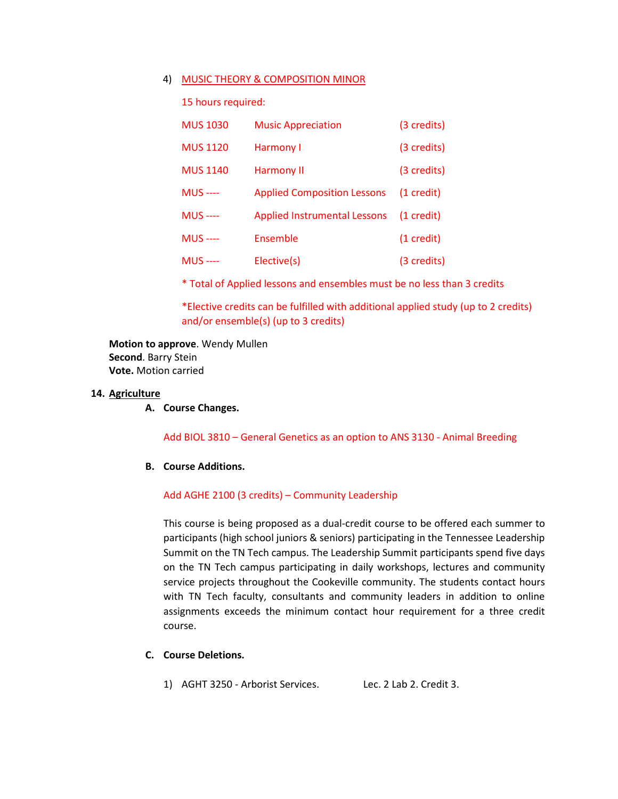#### 4) MUSIC THEORY & COMPOSITION MINOR

15 hours required:

| <b>MUS 1030</b> | <b>Music Appreciation</b>           | (3 credits)          |
|-----------------|-------------------------------------|----------------------|
| <b>MUS 1120</b> | Harmony I                           | (3 credits)          |
| <b>MUS 1140</b> | <b>Harmony II</b>                   | (3 credits)          |
| <b>MUS</b> ---- | <b>Applied Composition Lessons</b>  | $(1 \text{ credit})$ |
| <b>MUS</b> ---- | <b>Applied Instrumental Lessons</b> | $(1 \text{ credit})$ |
| <b>MUS</b> ---- | Ensemble                            | $(1 \text{ credit})$ |
| <b>MUS</b> ---- | Elective(s)                         | (3 credits)          |

\* Total of Applied lessons and ensembles must be no less than 3 credits

\*Elective credits can be fulfilled with additional applied study (up to 2 credits) and/or ensemble(s) (up to 3 credits)

**Motion to approve**. Wendy Mullen **Second**. Barry Stein **Vote.** Motion carried

#### **14. Agriculture**

**A. Course Changes.**

Add BIOL 3810 – General Genetics as an option to ANS 3130 - Animal Breeding

#### **B. Course Additions.**

#### Add AGHE 2100 (3 credits) – Community Leadership

This course is being proposed as a dual-credit course to be offered each summer to participants (high school juniors & seniors) participating in the Tennessee Leadership Summit on the TN Tech campus. The Leadership Summit participants spend five days on the TN Tech campus participating in daily workshops, lectures and community service projects throughout the Cookeville community. The students contact hours with TN Tech faculty, consultants and community leaders in addition to online assignments exceeds the minimum contact hour requirement for a three credit course.

### **C. Course Deletions.**

1) AGHT 3250 - [Arborist Services.](https://tturedss1.tntech.edu/pls/PROD/bwckctlg.p_disp_course_detail?cat_term_in=201810&subj_code_in=AGHT&crse_numb_in=3250) Lec. 2 Lab 2. Credit 3.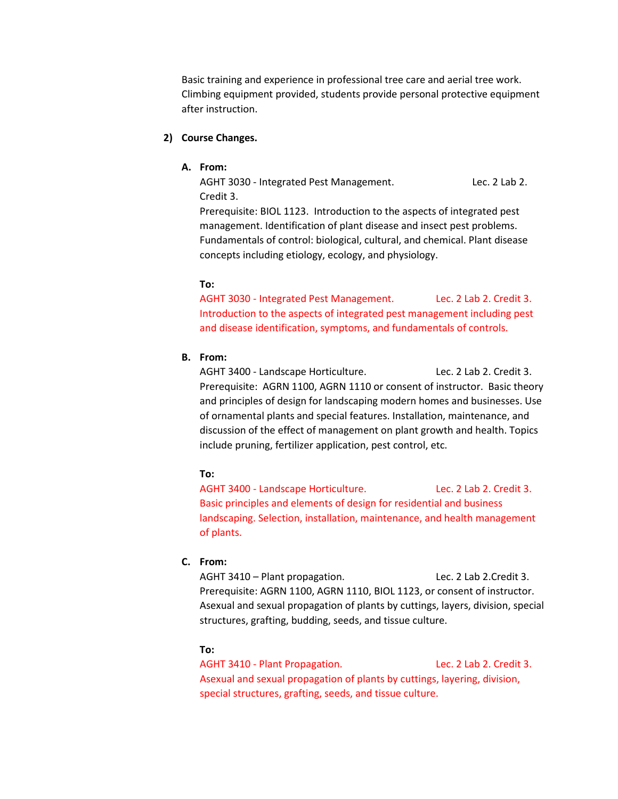Basic training and experience in professional tree care and aerial tree work. Climbing equipment provided, students provide personal protective equipment after instruction.

### **2) Course Changes.**

### **A. From:**

AGHT 3030 - [Integrated Pest Management.](https://tturedss1.tntech.edu/pls/PROD/bwckctlg.p_disp_course_detail?cat_term_in=201810&subj_code_in=AGHT&crse_numb_in=3030) Lec. 2 Lab 2. Credit 3.

Prerequisite: BIOL 1123. Introduction to the aspects of integrated pest management. Identification of plant disease and insect pest problems. Fundamentals of control: biological, cultural, and chemical. Plant disease concepts including etiology, ecology, and physiology.

### **To:**

AGHT 3030 - [Integrated Pest Management.](https://tturedss1.tntech.edu/pls/PROD/bwckctlg.p_disp_course_detail?cat_term_in=201810&subj_code_in=AGHT&crse_numb_in=3030) Lec. 2 Lab 2. Credit 3. Introduction to the aspects of integrated pest management including pest and disease identification, symptoms, and fundamentals of controls.

### **B. From:**

AGHT 3400 - [Landscape Horticulture.](https://tturedss1.tntech.edu/pls/PROD/bwckctlg.p_disp_course_detail?cat_term_in=201810&subj_code_in=AGHT&crse_numb_in=3400) Lec. 2 Lab 2. Credit 3. Prerequisite: AGRN 1100, AGRN 1110 or consent of instructor. Basic theory and principles of design for landscaping modern homes and businesses. Use of ornamental plants and special features. Installation, maintenance, and discussion of the effect of management on plant growth and health. Topics include pruning, fertilizer application, pest control, etc.

### **To:**

AGHT 3400 - [Landscape Horticulture.](https://tturedss1.tntech.edu/pls/PROD/bwckctlg.p_disp_course_detail?cat_term_in=201810&subj_code_in=AGHT&crse_numb_in=3400) Lec. 2 Lab 2. Credit 3. Basic principles and elements of design for residential and business landscaping. Selection, installation, maintenance, and health management of plants.

### **C. From:**

AGHT 3410 – Plant propagation. Lec. 2 Lab 2.Credit 3. Prerequisite: AGRN 1100, AGRN 1110, BIOL 1123, or consent of instructor. Asexual and sexual propagation of plants by cuttings, layers, division, special structures, grafting, budding, seeds, and tissue culture.

### **To:**

AGHT 3410 - [Plant Propagation.](https://tturedss1.tntech.edu/pls/PROD/bwckctlg.p_disp_course_detail?cat_term_in=201810&subj_code_in=AGHT&crse_numb_in=3410) Lec. 2 Lab 2. Credit 3. Asexual and sexual propagation of plants by cuttings, layering, division, special structures, grafting, seeds, and tissue culture.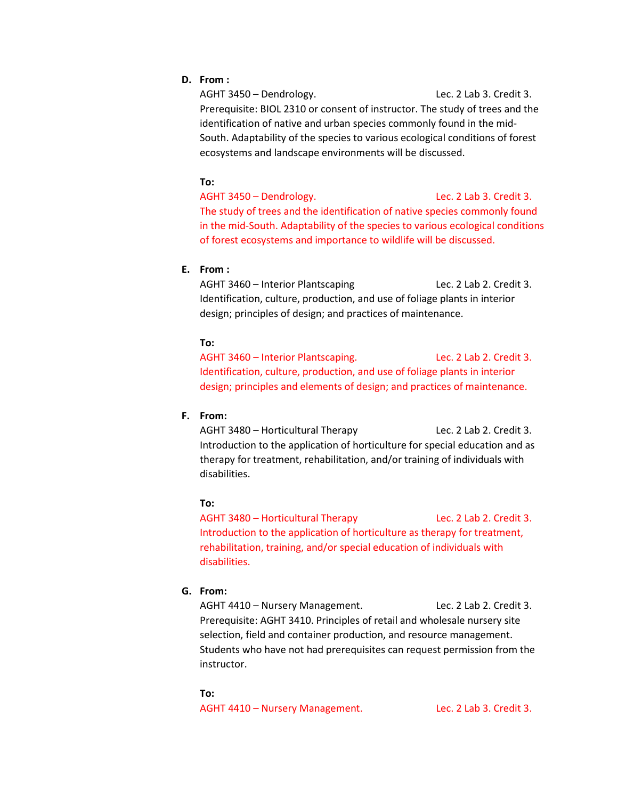### **D. From :**

AGHT 3450 – Dendrology. Lec. 2 Lab 3. Credit 3. Prerequisite: BIOL 2310 or consent of instructor. The study of trees and the identification of native and urban species commonly found in the mid-South. Adaptability of the species to various ecological conditions of forest ecosystems and landscape environments will be discussed.

#### **To:**

AGHT 3450 – Dendrology. Lec. 2 Lab 3. Credit 3. The study of trees and the identification of native species commonly found in the mid-South. Adaptability of the species to various ecological conditions of forest ecosystems and importance to wildlife will be discussed.

### **E. From :**

AGHT 3460 – Interior Plantscaping Lec. 2 Lab 2. Credit 3. Identification, culture, production, and use of foliage plants in interior design; principles of design; and practices of maintenance.

### **To:**

AGHT 3460 – Interior Plantscaping. Lec. 2 Lab 2. Credit 3. Identification, culture, production, and use of foliage plants in interior design; principles and elements of design; and practices of maintenance.

### **F. From:**

AGHT 3480 – Horticultural Therapy Lec. 2 Lab 2. Credit 3. Introduction to the application of horticulture for special education and as therapy for treatment, rehabilitation, and/or training of individuals with disabilities.

#### **To:**

AGHT 3480 – Horticultural Therapy Lec. 2 Lab 2. Credit 3. Introduction to the application of horticulture as therapy for treatment, rehabilitation, training, and/or special education of individuals with disabilities.

### **G. From:**

AGHT 4410 - Nursery Management. Lec. 2 Lab 2. Credit 3. Prerequisite: AGHT 3410. Principles of retail and wholesale nursery site selection, field and container production, and resource management. Students who have not had prerequisites can request permission from the instructor.

#### **To:**

AGHT 4410 – Nursery Management. Lec. 2 Lab 3. Credit 3.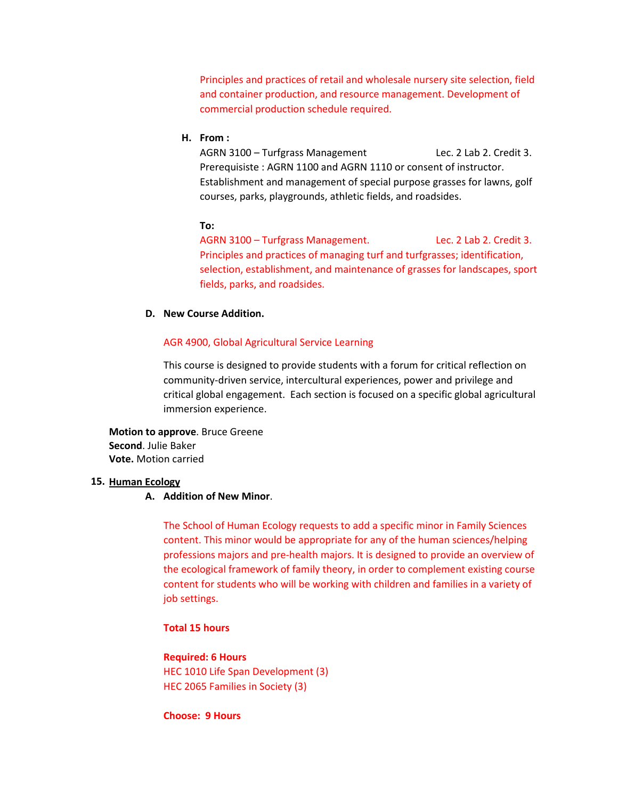Principles and practices of retail and wholesale nursery site selection, field and container production, and resource management. Development of commercial production schedule required.

#### **H. From :**

AGRN 3100 - Turfgrass Management Lec. 2 Lab 2. Credit 3. Prerequisiste : AGRN 1100 and AGRN 1110 or consent of instructor. Establishment and management of special purpose grasses for lawns, golf courses, parks, playgrounds, athletic fields, and roadsides.

#### **To:**

AGRN 3100 – Turfgrass Management. Lec. 2 Lab 2. Credit 3. Principles and practices of managing turf and turfgrasses; identification, selection, establishment, and maintenance of grasses for landscapes, sport fields, parks, and roadsides.

#### **D. New Course Addition.**

#### AGR 4900, Global Agricultural Service Learning

This course is designed to provide students with a forum for critical reflection on community-driven service, intercultural experiences, power and privilege and critical global engagement. Each section is focused on a specific global agricultural immersion experience.

**Motion to approve**. Bruce Greene **Second**. Julie Baker **Vote.** Motion carried

#### **15. Human Ecology**

#### **A. Addition of New Minor**.

The School of Human Ecology requests to add a specific minor in Family Sciences content. This minor would be appropriate for any of the human sciences/helping professions majors and pre-health majors. It is designed to provide an overview of the ecological framework of family theory, in order to complement existing course content for students who will be working with children and families in a variety of job settings.

### **Total 15 hours**

# **Required: 6 Hours** HEC 1010 Life Span Development (3) HEC 2065 Families in Society (3)

#### **Choose: 9 Hours**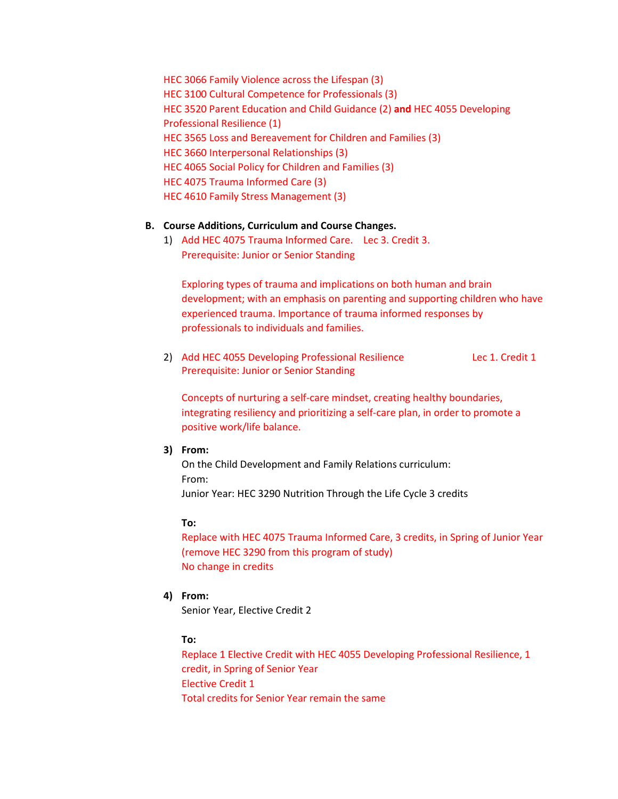HEC 3066 Family Violence across the Lifespan (3) HEC 3100 Cultural Competence for Professionals (3) HEC 3520 Parent Education and Child Guidance (2) **and** HEC 4055 Developing Professional Resilience (1) HEC 3565 Loss and Bereavement for Children and Families (3) HEC 3660 Interpersonal Relationships (3) HEC 4065 Social Policy for Children and Families (3) HEC 4075 Trauma Informed Care (3) HEC 4610 Family Stress Management (3)

### **B. Course Additions, Curriculum and Course Changes.**

1) Add HEC 4075 Trauma Informed Care. Lec 3. Credit 3. Prerequisite: Junior or Senior Standing

Exploring types of trauma and implications on both human and brain development; with an emphasis on parenting and supporting children who have experienced trauma. Importance of trauma informed responses by professionals to individuals and families.

2) Add HEC 4055 Developing Professional Resilience Lec 1. Credit 1 Prerequisite: Junior or Senior Standing

Concepts of nurturing a self-care mindset, creating healthy boundaries, integrating resiliency and prioritizing a self-care plan, in order to promote a positive work/life balance.

**3) From:**

On the Child Development and Family Relations curriculum: From: Junior Year: HEC 3290 Nutrition Through the Life Cycle 3 credits

#### **To:**

Replace with HEC 4075 Trauma Informed Care, 3 credits, in Spring of Junior Year (remove HEC 3290 from this program of study) No change in credits

**4) From:**

Senior Year, Elective Credit 2

### **To:**

Replace 1 Elective Credit with HEC 4055 Developing Professional Resilience, 1 credit, in Spring of Senior Year Elective Credit 1 Total credits for Senior Year remain the same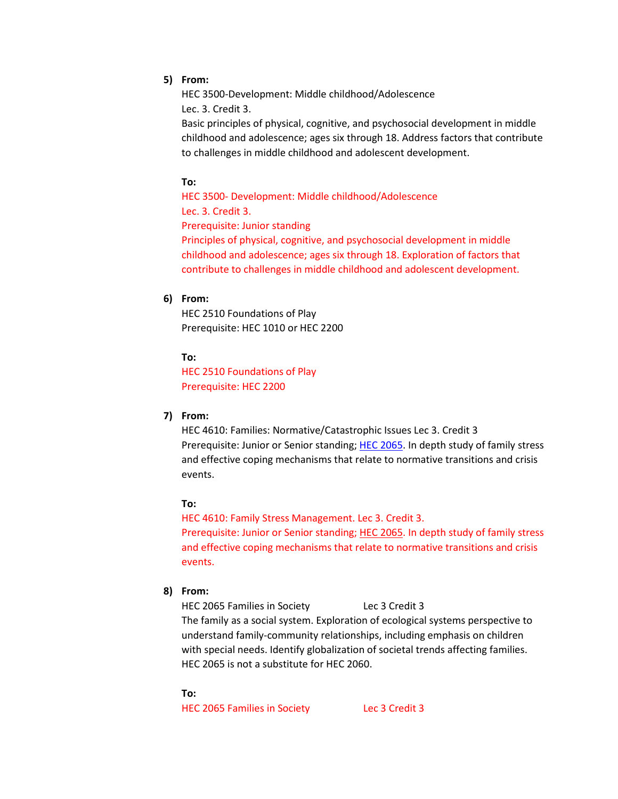### **5) From:**

HEC 3500-Development: Middle childhood/Adolescence Lec. 3. Credit 3.

Basic principles of physical, cognitive, and psychosocial development in middle childhood and adolescence; ages six through 18. Address factors that contribute to challenges in middle childhood and adolescent development.

### **To:**

HEC 3500- Development: Middle childhood/Adolescence Lec. 3. Credit 3. Prerequisite: Junior standing Principles of physical, cognitive, and psychosocial development in middle childhood and adolescence; ages six through 18. Exploration of factors that contribute to challenges in middle childhood and adolescent development.

### **6) From:**

HEC 2510 Foundations of Play Prerequisite: HEC 1010 or HEC 2200

#### **To:**

HEC 2510 Foundations of Play Prerequisite: HEC 2200

### **7) From:**

HEC 4610: Families: Normative/Catastrophic Issues Lec 3. Credit 3 Prerequisite: Junior or Senior standing; [HEC 2065.](http://catalog.tntech.edu/content.php?filter%5B27%5D=HEC&filter%5B29%5D=&filter%5Bcourse_type%5D=-1&filter%5Bkeyword%5D=&filter%5B32%5D=1&filter%5Bcpage%5D=1&cur_cat_oid=27&expand=&navoid=5579&search_database=Filter&filter%5Bexact_match%5D=1#tt4759) In depth study of family stress and effective coping mechanisms that relate to normative transitions and crisis events.

#### **To:**

HEC 4610: Family Stress Management. Lec 3. Credit 3. Prerequisite: Junior or Senior standing; [HEC 2065.](http://catalog.tntech.edu/content.php?filter%5B27%5D=HEC&filter%5B29%5D=&filter%5Bcourse_type%5D=-1&filter%5Bkeyword%5D=&filter%5B32%5D=1&filter%5Bcpage%5D=1&cur_cat_oid=27&expand=&navoid=5579&search_database=Filter&filter%5Bexact_match%5D=1#tt4759) In depth study of family stress and effective coping mechanisms that relate to normative transitions and crisis events.

#### **8) From:**

HEC 2065 Families in Society Lec 3 Credit 3

The family as a social system. Exploration of ecological systems perspective to understand family-community relationships, including emphasis on children with special needs. Identify globalization of societal trends affecting families. HEC 2065 is not a substitute for HEC 2060.

#### **To:**

HEC 2065 Families in Society Lec 3 Credit 3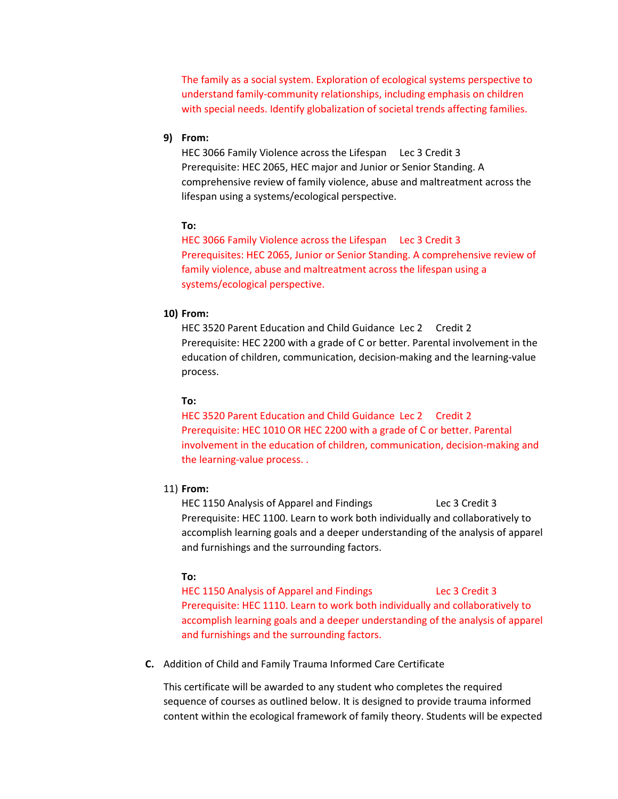The family as a social system. Exploration of ecological systems perspective to understand family-community relationships, including emphasis on children with special needs. Identify globalization of societal trends affecting families.

### **9) From:**

HEC 3066 Family Violence across the Lifespan Lec 3 Credit 3 Prerequisite: HEC 2065, HEC major and Junior or Senior Standing. A comprehensive review of family violence, abuse and maltreatment across the lifespan using a systems/ecological perspective.

#### **To:**

HEC 3066 Family Violence across the Lifespan Lec 3 Credit 3 Prerequisites: HEC 2065, Junior or Senior Standing. A comprehensive review of family violence, abuse and maltreatment across the lifespan using a systems/ecological perspective.

#### **10) From:**

HEC 3520 Parent Education and Child Guidance Lec 2 Credit 2 Prerequisite: HEC 2200 with a grade of C or better. Parental involvement in the education of children, communication, decision-making and the learning-value process.

#### **To:**

HEC 3520 Parent Education and Child Guidance Lec 2 Credit 2 Prerequisite: HEC 1010 OR HEC 2200 with a grade of C or better. Parental involvement in the education of children, communication, decision-making and the learning-value process. .

#### 11) **From:**

HEC 1150 Analysis of Apparel and Findings Lec 3 Credit 3 Prerequisite: HEC 1100. Learn to work both individually and collaboratively to accomplish learning goals and a deeper understanding of the analysis of apparel and furnishings and the surrounding factors.

#### **To:**

HEC 1150 Analysis of Apparel and Findings Lec 3 Credit 3 Prerequisite: HEC 1110. Learn to work both individually and collaboratively to accomplish learning goals and a deeper understanding of the analysis of apparel and furnishings and the surrounding factors.

**C.** Addition of Child and Family Trauma Informed Care Certificate

This certificate will be awarded to any student who completes the required sequence of courses as outlined below. It is designed to provide trauma informed content within the ecological framework of family theory. Students will be expected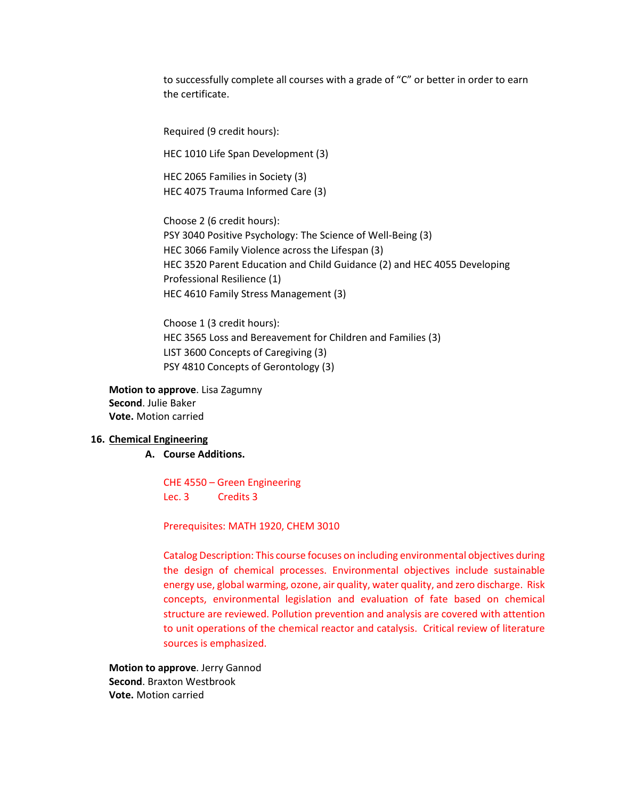to successfully complete all courses with a grade of "C" or better in order to earn the certificate.

Required (9 credit hours):

HEC 1010 Life Span Development (3)

HEC 2065 Families in Society (3) HEC 4075 Trauma Informed Care (3)

Choose 2 (6 credit hours): PSY 3040 Positive Psychology: The Science of Well-Being (3) HEC 3066 Family Violence across the Lifespan (3) HEC 3520 Parent Education and Child Guidance (2) and HEC 4055 Developing Professional Resilience (1) HEC 4610 Family Stress Management (3)

Choose 1 (3 credit hours): HEC 3565 Loss and Bereavement for Children and Families (3) LIST 3600 Concepts of Caregiving (3) PSY 4810 Concepts of Gerontology (3)

**Motion to approve**. Lisa Zagumny **Second**. Julie Baker **Vote.** Motion carried

#### **16. Chemical Engineering**

**A. Course Additions.**

CHE 4550 – Green Engineering Lec. 3 Credits 3

Prerequisites: MATH 1920, CHEM 3010

Catalog Description: This course focuses on including environmental objectives during the design of chemical processes. Environmental objectives include sustainable energy use, global warming, ozone, air quality, water quality, and zero discharge. Risk concepts, environmental legislation and evaluation of fate based on chemical structure are reviewed. Pollution prevention and analysis are covered with attention to unit operations of the chemical reactor and catalysis. Critical review of literature sources is emphasized.

**Motion to approve**. Jerry Gannod **Second**. Braxton Westbrook **Vote.** Motion carried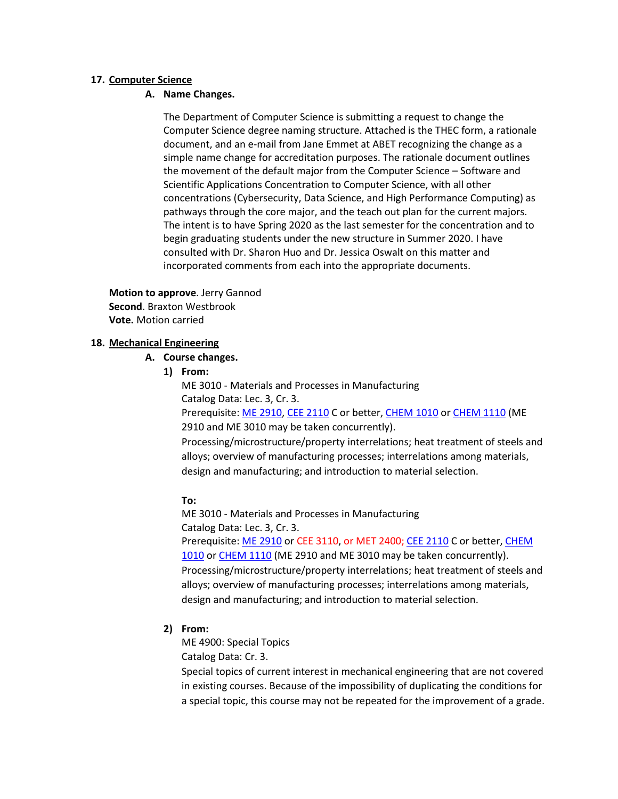### **17. Computer Science**

### **A. Name Changes.**

The Department of Computer Science is submitting a request to change the Computer Science degree naming structure. Attached is the THEC form, a rationale document, and an e-mail from Jane Emmet at ABET recognizing the change as a simple name change for accreditation purposes. The rationale document outlines the movement of the default major from the Computer Science – Software and Scientific Applications Concentration to Computer Science, with all other concentrations (Cybersecurity, Data Science, and High Performance Computing) as pathways through the core major, and the teach out plan for the current majors. The intent is to have Spring 2020 as the last semester for the concentration and to begin graduating students under the new structure in Summer 2020. I have consulted with Dr. Sharon Huo and Dr. Jessica Oswalt on this matter and incorporated comments from each into the appropriate documents.

**Motion to approve**. Jerry Gannod **Second**. Braxton Westbrook **Vote.** Motion carried

### **18. Mechanical Engineering**

### **A. Course changes.**

**1) From:**

ME 3010 - Materials and Processes in Manufacturing Catalog Data: Lec. 3, Cr. 3. Prerequisite: [ME 2910,](http://catalog.tntech.edu/content.php?filter%5B27%5D=ME&filter%5B29%5D=&filter%5Bcourse_type%5D=-1&filter%5Bkeyword%5D=&filter%5B32%5D=1&filter%5Bcpage%5D=1&cur_cat_oid=27&expand=&navoid=5579&search_database=Filter&filter%5Bexact_match%5D=1#tt930) [CEE 2110](http://catalog.tntech.edu/content.php?filter%5B27%5D=ME&filter%5B29%5D=&filter%5Bcourse_type%5D=-1&filter%5Bkeyword%5D=&filter%5B32%5D=1&filter%5Bcpage%5D=1&cur_cat_oid=27&expand=&navoid=5579&search_database=Filter&filter%5Bexact_match%5D=1#tt9353) C or better, [CHEM 1010](http://catalog.tntech.edu/content.php?filter%5B27%5D=ME&filter%5B29%5D=&filter%5Bcourse_type%5D=-1&filter%5Bkeyword%5D=&filter%5B32%5D=1&filter%5Bcpage%5D=1&cur_cat_oid=27&expand=&navoid=5579&search_database=Filter&filter%5Bexact_match%5D=1#tt4000) or [CHEM 1110](http://catalog.tntech.edu/content.php?filter%5B27%5D=ME&filter%5B29%5D=&filter%5Bcourse_type%5D=-1&filter%5Bkeyword%5D=&filter%5B32%5D=1&filter%5Bcpage%5D=1&cur_cat_oid=27&expand=&navoid=5579&search_database=Filter&filter%5Bexact_match%5D=1#tt5984) (ME 2910 and ME 3010 may be taken concurrently). Processing/microstructure/property interrelations; heat treatment of steels and alloys; overview of manufacturing processes; interrelations among materials,

design and manufacturing; and introduction to material selection.

### **To:**

ME 3010 - Materials and Processes in Manufacturing Catalog Data: Lec. 3, Cr. 3. Prerequisite: [ME 2910](http://catalog.tntech.edu/content.php?filter%5B27%5D=ME&filter%5B29%5D=&filter%5Bcourse_type%5D=-1&filter%5Bkeyword%5D=&filter%5B32%5D=1&filter%5Bcpage%5D=1&cur_cat_oid=27&expand=&navoid=5579&search_database=Filter&filter%5Bexact_match%5D=1#tt930) or CEE 3110, or MET 2400; [CEE 2110](http://catalog.tntech.edu/content.php?filter%5B27%5D=ME&filter%5B29%5D=&filter%5Bcourse_type%5D=-1&filter%5Bkeyword%5D=&filter%5B32%5D=1&filter%5Bcpage%5D=1&cur_cat_oid=27&expand=&navoid=5579&search_database=Filter&filter%5Bexact_match%5D=1#tt9353) C or better, CHEM [1010](http://catalog.tntech.edu/content.php?filter%5B27%5D=ME&filter%5B29%5D=&filter%5Bcourse_type%5D=-1&filter%5Bkeyword%5D=&filter%5B32%5D=1&filter%5Bcpage%5D=1&cur_cat_oid=27&expand=&navoid=5579&search_database=Filter&filter%5Bexact_match%5D=1#tt4000) or [CHEM 1110](http://catalog.tntech.edu/content.php?filter%5B27%5D=ME&filter%5B29%5D=&filter%5Bcourse_type%5D=-1&filter%5Bkeyword%5D=&filter%5B32%5D=1&filter%5Bcpage%5D=1&cur_cat_oid=27&expand=&navoid=5579&search_database=Filter&filter%5Bexact_match%5D=1#tt5984) (ME 2910 and ME 3010 may be taken concurrently). Processing/microstructure/property interrelations; heat treatment of steels and alloys; overview of manufacturing processes; interrelations among materials, design and manufacturing; and introduction to material selection.

### **2) From:**

ME 4900: Special Topics

Catalog Data: Cr. 3.

Special topics of current interest in mechanical engineering that are not covered in existing courses. Because of the impossibility of duplicating the conditions for a special topic, this course may not be repeated for the improvement of a grade.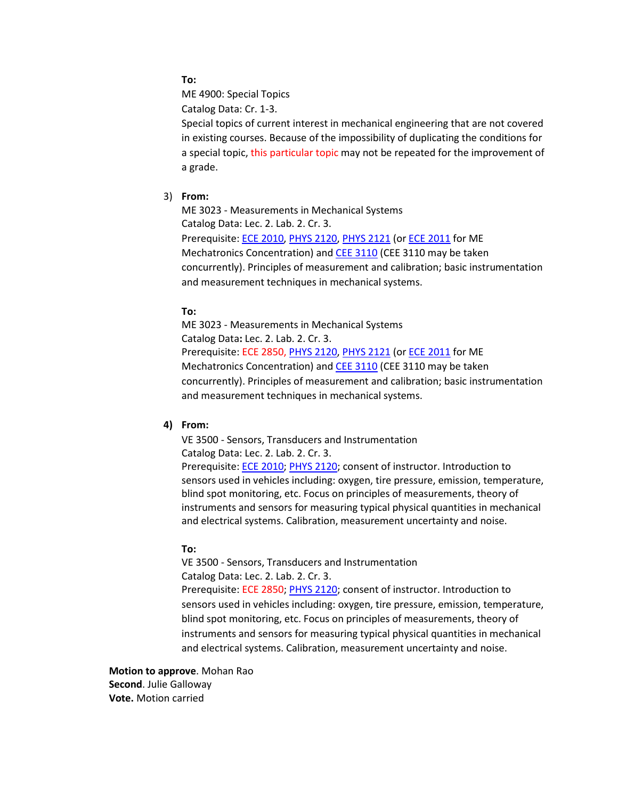### **To:**

ME 4900: Special Topics

Catalog Data: Cr. 1-3.

Special topics of current interest in mechanical engineering that are not covered in existing courses. Because of the impossibility of duplicating the conditions for a special topic, this particular topic may not be repeated for the improvement of a grade.

### 3) **From:**

ME 3023 - Measurements in Mechanical Systems Catalog Data: Lec. 2. Lab. 2. Cr. 3. Prerequisite: [ECE 2010,](http://catalog.tntech.edu/content.php?filter%5B27%5D=ME&filter%5B29%5D=&filter%5Bcourse_type%5D=-1&filter%5Bkeyword%5D=&filter%5B32%5D=1&filter%5Bcpage%5D=1&cur_cat_oid=27&expand=&navoid=5579&search_database=Filter&filter%5Bexact_match%5D=1#tt2175) [PHYS 2120,](http://catalog.tntech.edu/content.php?filter%5B27%5D=ME&filter%5B29%5D=&filter%5Bcourse_type%5D=-1&filter%5Bkeyword%5D=&filter%5B32%5D=1&filter%5Bcpage%5D=1&cur_cat_oid=27&expand=&navoid=5579&search_database=Filter&filter%5Bexact_match%5D=1#tt9995) [PHYS 2121](http://catalog.tntech.edu/content.php?filter%5B27%5D=ME&filter%5B29%5D=&filter%5Bcourse_type%5D=-1&filter%5Bkeyword%5D=&filter%5B32%5D=1&filter%5Bcpage%5D=1&cur_cat_oid=27&expand=&navoid=5579&search_database=Filter&filter%5Bexact_match%5D=1#tt4443) (or [ECE 2011](http://catalog.tntech.edu/content.php?filter%5B27%5D=ME&filter%5B29%5D=&filter%5Bcourse_type%5D=-1&filter%5Bkeyword%5D=&filter%5B32%5D=1&filter%5Bcpage%5D=1&cur_cat_oid=27&expand=&navoid=5579&search_database=Filter&filter%5Bexact_match%5D=1#tt7053) for ME Mechatronics Concentration) and **[CEE 3110](http://catalog.tntech.edu/content.php?filter%5B27%5D=ME&filter%5B29%5D=&filter%5Bcourse_type%5D=-1&filter%5Bkeyword%5D=&filter%5B32%5D=1&filter%5Bcpage%5D=1&cur_cat_oid=27&expand=&navoid=5579&search_database=Filter&filter%5Bexact_match%5D=1#tt176)** (CEE 3110 may be taken concurrently). Principles of measurement and calibration; basic instrumentation and measurement techniques in mechanical systems.

### **To:**

ME 3023 - Measurements in Mechanical Systems Catalog Data**:** Lec. 2. Lab. 2. Cr. 3. Prerequisite: ECE 2850, [PHYS 2120,](http://catalog.tntech.edu/content.php?filter%5B27%5D=ME&filter%5B29%5D=&filter%5Bcourse_type%5D=-1&filter%5Bkeyword%5D=&filter%5B32%5D=1&filter%5Bcpage%5D=1&cur_cat_oid=27&expand=&navoid=5579&search_database=Filter&filter%5Bexact_match%5D=1#tt9995) [PHYS 2121](http://catalog.tntech.edu/content.php?filter%5B27%5D=ME&filter%5B29%5D=&filter%5Bcourse_type%5D=-1&filter%5Bkeyword%5D=&filter%5B32%5D=1&filter%5Bcpage%5D=1&cur_cat_oid=27&expand=&navoid=5579&search_database=Filter&filter%5Bexact_match%5D=1#tt4443) (or [ECE 2011](http://catalog.tntech.edu/content.php?filter%5B27%5D=ME&filter%5B29%5D=&filter%5Bcourse_type%5D=-1&filter%5Bkeyword%5D=&filter%5B32%5D=1&filter%5Bcpage%5D=1&cur_cat_oid=27&expand=&navoid=5579&search_database=Filter&filter%5Bexact_match%5D=1#tt7053) for ME Mechatronics Concentration) and [CEE 3110](http://catalog.tntech.edu/content.php?filter%5B27%5D=ME&filter%5B29%5D=&filter%5Bcourse_type%5D=-1&filter%5Bkeyword%5D=&filter%5B32%5D=1&filter%5Bcpage%5D=1&cur_cat_oid=27&expand=&navoid=5579&search_database=Filter&filter%5Bexact_match%5D=1#tt176) (CEE 3110 may be taken concurrently). Principles of measurement and calibration; basic instrumentation and measurement techniques in mechanical systems.

#### **4) From:**

VE 3500 - Sensors, Transducers and Instrumentation Catalog Data: Lec. 2. Lab. 2. Cr. 3. Prerequisite: [ECE 2010;](http://catalog.tntech.edu/search_advanced.php?cur_cat_oid=27&search_database=Search&search_db=Search&cpage=1&ecpage=1&ppage=1&spage=1&tpage=1&location=3&filter%5Bkeyword%5D=VE&filter%5Bexact_match%5D=1#tt8217) [PHYS 2120;](http://catalog.tntech.edu/search_advanced.php?cur_cat_oid=27&search_database=Search&search_db=Search&cpage=1&ecpage=1&ppage=1&spage=1&tpage=1&location=3&filter%5Bkeyword%5D=VE&filter%5Bexact_match%5D=1#tt9682) consent of instructor. Introduction to sensors used in vehicles including: oxygen, tire pressure, emission, temperature, blind spot monitoring, etc. Focus on principles of measurements, theory of instruments and sensors for measuring typical physical quantities in mechanical and electrical systems. Calibration, measurement uncertainty and noise.

#### **To:**

VE 3500 - Sensors, Transducers and Instrumentation Catalog Data: Lec. 2. Lab. 2. Cr. 3. Prerequisite: ECE 2850; [PHYS 2120;](http://catalog.tntech.edu/search_advanced.php?cur_cat_oid=27&search_database=Search&search_db=Search&cpage=1&ecpage=1&ppage=1&spage=1&tpage=1&location=3&filter%5Bkeyword%5D=VE&filter%5Bexact_match%5D=1#tt9682) consent of instructor. Introduction to sensors used in vehicles including: oxygen, tire pressure, emission, temperature, blind spot monitoring, etc. Focus on principles of measurements, theory of instruments and sensors for measuring typical physical quantities in mechanical and electrical systems. Calibration, measurement uncertainty and noise.

**Motion to approve**. Mohan Rao **Second**. Julie Galloway **Vote.** Motion carried